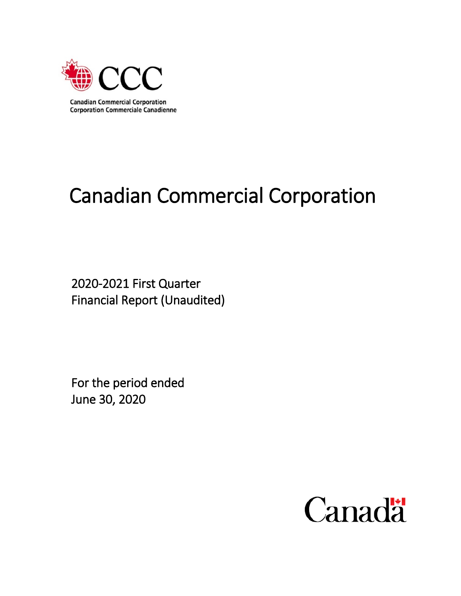

# Canadian Commercial Corporation

2020-2021 First Quarter Financial Report (Unaudited)

For the period ended June 30, 2020

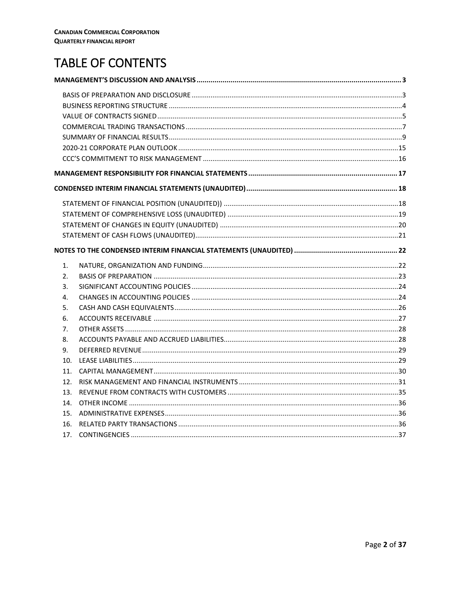# TABLE OF CONTENTS

| 1.              |  |
|-----------------|--|
| 2.              |  |
| 3.              |  |
| 4.              |  |
| 5.              |  |
| 6.              |  |
| 7.              |  |
| 8.              |  |
| 9.              |  |
| 10 <sub>1</sub> |  |
| 11.             |  |
| 12.             |  |
| 13.             |  |
| 14.             |  |
| 15.             |  |
| 16.             |  |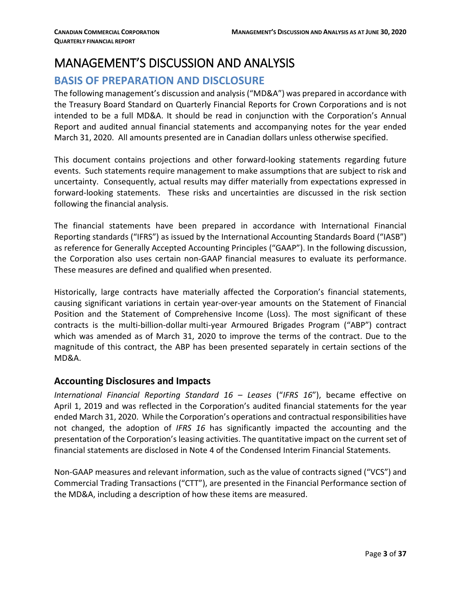# <span id="page-2-0"></span>MANAGEMENT'S DISCUSSION AND ANALYSIS

# <span id="page-2-1"></span>**BASIS OF PREPARATION AND DISCLOSURE**

The following management's discussion and analysis ("MD&A") was prepared in accordance with the Treasury Board Standard on Quarterly Financial Reports for Crown Corporations and is not intended to be a full MD&A. It should be read in conjunction with the Corporation's Annual Report and audited annual financial statements and accompanying notes for the year ended March 31, 2020. All amounts presented are in Canadian dollars unless otherwise specified.

This document contains projections and other forward-looking statements regarding future events. Such statements require management to make assumptions that are subject to risk and uncertainty. Consequently, actual results may differ materially from expectations expressed in forward-looking statements. These risks and uncertainties are discussed in the risk section following the financial analysis.

The financial statements have been prepared in accordance with International Financial Reporting standards ("IFRS") as issued by the International Accounting Standards Board ("IASB") as reference for Generally Accepted Accounting Principles ("GAAP"). In the following discussion, the Corporation also uses certain non-GAAP financial measures to evaluate its performance. These measures are defined and qualified when presented.

Historically, large contracts have materially affected the Corporation's financial statements, causing significant variations in certain year-over-year amounts on the Statement of Financial Position and the Statement of Comprehensive Income (Loss). The most significant of these contracts is the multi-billion-dollar multi-year Armoured Brigades Program ("ABP") contract which was amended as of March 31, 2020 to improve the terms of the contract. Due to the magnitude of this contract, the ABP has been presented separately in certain sections of the MD&A.

#### **Accounting Disclosures and Impacts**

*International Financial Reporting Standard 16 – Leases* ("*IFRS 16*"), became effective on April 1, 2019 and was reflected in the Corporation's audited financial statements for the year ended March 31, 2020. While the Corporation's operations and contractual responsibilities have not changed, the adoption of *IFRS 16* has significantly impacted the accounting and the presentation of the Corporation's leasing activities. The quantitative impact on the current set of financial statements are disclosed in Note 4 of the Condensed Interim Financial Statements.

Non-GAAP measures and relevant information, such as the value of contracts signed ("VCS") and Commercial Trading Transactions ("CTT"), are presented in the Financial Performance section of the MD&A, including a description of how these items are measured.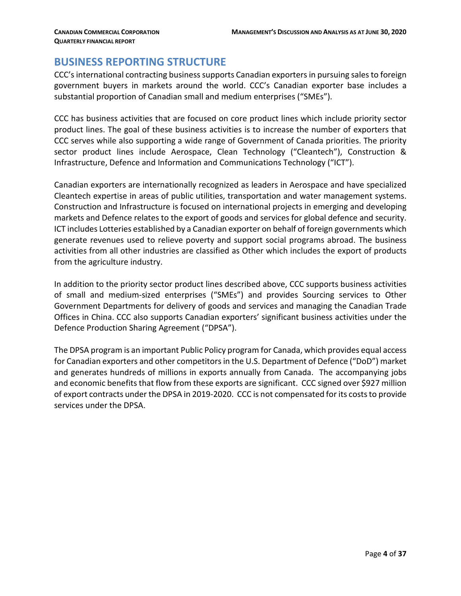#### <span id="page-3-0"></span>**BUSINESS REPORTING STRUCTURE**

CCC's international contracting business supports Canadian exporters in pursuing sales to foreign government buyers in markets around the world. CCC's Canadian exporter base includes a substantial proportion of Canadian small and medium enterprises ("SMEs").

CCC has business activities that are focused on core product lines which include priority sector product lines. The goal of these business activities is to increase the number of exporters that CCC serves while also supporting a wide range of Government of Canada priorities. The priority sector product lines include Aerospace, Clean Technology ("Cleantech"), Construction & Infrastructure, Defence and Information and Communications Technology ("ICT").

Canadian exporters are internationally recognized as leaders in Aerospace and have specialized Cleantech expertise in areas of public utilities, transportation and water management systems. Construction and Infrastructure is focused on international projects in emerging and developing markets and Defence relates to the export of goods and services for global defence and security. ICT includes Lotteries established by a Canadian exporter on behalf of foreign governments which generate revenues used to relieve poverty and support social programs abroad. The business activities from all other industries are classified as Other which includes the export of products from the agriculture industry.

In addition to the priority sector product lines described above, CCC supports business activities of small and medium-sized enterprises ("SMEs") and provides Sourcing services to Other Government Departments for delivery of goods and services and managing the Canadian Trade Offices in China. CCC also supports Canadian exporters' significant business activities under the Defence Production Sharing Agreement ("DPSA").

The DPSA program is an important Public Policy program for Canada, which provides equal access for Canadian exporters and other competitors in the U.S. Department of Defence ("DoD") market and generates hundreds of millions in exports annually from Canada. The accompanying jobs and economic benefits that flow from these exports are significant. CCC signed over \$927 million of export contracts under the DPSA in 2019-2020. CCC is not compensated for its costs to provide services under the DPSA.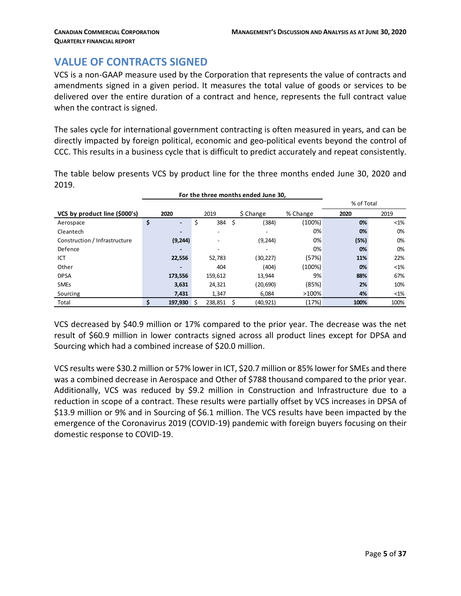# <span id="page-4-0"></span>**VALUE OF CONTRACTS SIGNED**

VCS is a non-GAAP measure used by the Corporation that represents the value of contracts and amendments signed in a given period. It measures the total value of goods or services to be delivered over the entire duration of a contract and hence, represents the full contract value when the contract is signed.

The sales cycle for international government contracting is often measured in years, and can be directly impacted by foreign political, economic and geo-political events beyond the control of CCC. This results in a business cycle that is difficult to predict accurately and repeat consistently.

The table below presents VCS by product line for the three months ended June 30, 2020 and 2019.

 **For the three months ended June 30,** 

|                               |                                |              |     |           |          | % of Total |        |  |  |
|-------------------------------|--------------------------------|--------------|-----|-----------|----------|------------|--------|--|--|
| VCS by product line (\$000's) | 2020                           | 2019         |     | \$ Change | % Change | 2020       | 2019   |  |  |
| Aerospace                     | \$<br>$\overline{\phantom{0}}$ | \$<br>384 \$ |     | (384)     | (100%)   | 0%         | $<$ 1% |  |  |
| Cleantech                     |                                |              |     |           | 0%       | 0%         | 0%     |  |  |
| Construction / Infrastructure | (9, 244)                       |              |     | (9, 244)  | 0%       | (5%)       | 0%     |  |  |
| Defence                       |                                |              |     |           | 0%       | 0%         | 0%     |  |  |
| ICT                           | 22,556                         | 52,783       |     | (30, 227) | (57%)    | 11%        | 22%    |  |  |
| Other                         |                                | 404          |     | (404)     | (100%)   | 0%         | $<$ 1% |  |  |
| <b>DPSA</b>                   | 173,556                        | 159,612      |     | 13,944    | 9%       | 88%        | 67%    |  |  |
| <b>SMEs</b>                   | 3,631                          | 24,321       |     | (20, 690) | (85%)    | 2%         | 10%    |  |  |
| Sourcing                      | 7,431                          | 1,347        |     | 6,084     | >100%    | 4%         | $<$ 1% |  |  |
| Total                         | \$<br>197.930                  | 238.851      | - S | (40, 921) | (17%)    | 100%       | 100%   |  |  |

VCS decreased by \$40.9 million or 17% compared to the prior year. The decrease was the net result of \$60.9 million in lower contracts signed across all product lines except for DPSA and Sourcing which had a combined increase of \$20.0 million.

VCS results were \$30.2 million or 57% lower in ICT, \$20.7 million or 85% lower for SMEs and there was a combined decrease in Aerospace and Other of \$788 thousand compared to the prior year. Additionally, VCS was reduced by \$9.2 million in Construction and Infrastructure due to a reduction in scope of a contract. These results were partially offset by VCS increases in DPSA of \$13.9 million or 9% and in Sourcing of \$6.1 million. The VCS results have been impacted by the emergence of the Coronavirus 2019 (COVID-19) pandemic with foreign buyers focusing on their domestic response to COVID-19.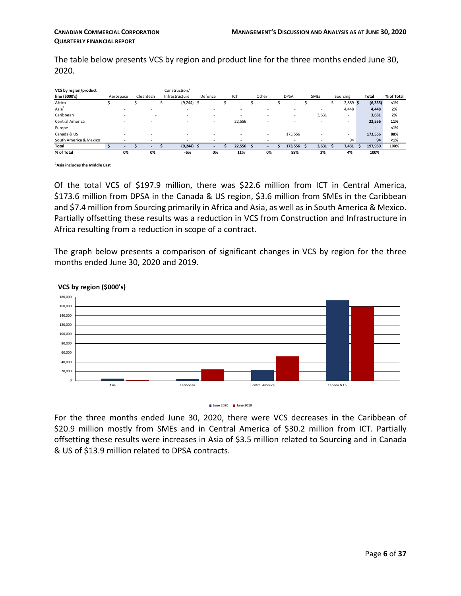The table below presents VCS by region and product line for the three months ended June 30, 2020.

| VCS by region/product  |           |        |           |                          | Construction/  |                          |     |         |        |                          |                          |                |            |              |            |
|------------------------|-----------|--------|-----------|--------------------------|----------------|--------------------------|-----|---------|--------|--------------------------|--------------------------|----------------|------------|--------------|------------|
| line (\$000's)         | Aerospace |        | Cleantech |                          | Infrastructure |                          |     | Defence | ICT    | Other                    | <b>DPSA</b>              | <b>SMEs</b>    | Sourcing   | <b>Total</b> | % of Total |
| Africa                 |           | $\sim$ |           | $\sim$                   |                | (9, 244)                 | -\$ | ۰.      | $\sim$ | $\overline{\phantom{a}}$ | ۰.                       | <b>Section</b> | $2,889$ \$ | (6, 355)     | $1%$       |
| Asia <sup>1</sup>      |           |        |           | $\overline{\phantom{a}}$ |                | $\overline{\phantom{a}}$ |     |         |        |                          | ٠                        | $\sim$         | 4,448      | 4,448        | 2%         |
| Caribbean              |           |        |           |                          |                | ۰                        |     |         |        |                          |                          | 3,631          |            | 3,631        | 2%         |
| Central America        |           |        |           | $\overline{\phantom{a}}$ |                | ۰                        |     |         | 22,556 |                          | $\overline{\phantom{a}}$ | $\sim$         |            | 22,556       | 11%        |
| Europe                 |           |        |           | $\overline{\phantom{a}}$ |                | $\overline{\phantom{a}}$ |     |         | ٠      | $\overline{\phantom{a}}$ |                          |                | ۰          | $\sim$       | $< 1\%$    |
| Canada & US            |           |        |           | $\overline{\phantom{a}}$ |                | ۰                        |     |         | $\sim$ | $\overline{\phantom{a}}$ | 173,556                  |                | ۰.         | 173,556      | 88%        |
| South America & Mexico |           |        |           |                          |                | $\overline{\phantom{a}}$ |     |         |        |                          | $\overline{\phantom{a}}$ |                | 94         | 94           | $1%$       |
| <b>Total</b>           |           |        |           |                          |                | $(9,244)$ \$             |     |         | 22.556 |                          | 173,556                  | 3,631          | 7,431      | 197,930      | 100%       |
| % of Total             |           | 0%     |           | 0%                       |                | -5%                      |     | 0%      | 11%    | 0%                       | 88%                      | 2%             | 4%         | 100%         |            |

**1 Asia includes the Middle East** 

Of the total VCS of \$197.9 million, there was \$22.6 million from ICT in Central America, \$173.6 million from DPSA in the Canada & US region, \$3.6 million from SMEs in the Caribbean and \$7.4 million from Sourcing primarily in Africa and Asia, as well as in South America & Mexico. Partially offsetting these results was a reduction in VCS from Construction and Infrastructure in Africa resulting from a reduction in scope of a contract.

The graph below presents a comparison of significant changes in VCS by region for the three months ended June 30, 2020 and 2019.



#### **VCS by region (\$000's)**

For the three months ended June 30, 2020, there were VCS decreases in the Caribbean of \$20.9 million mostly from SMEs and in Central America of \$30.2 million from ICT. Partially offsetting these results were increases in Asia of \$3.5 million related to Sourcing and in Canada & US of \$13.9 million related to DPSA contracts.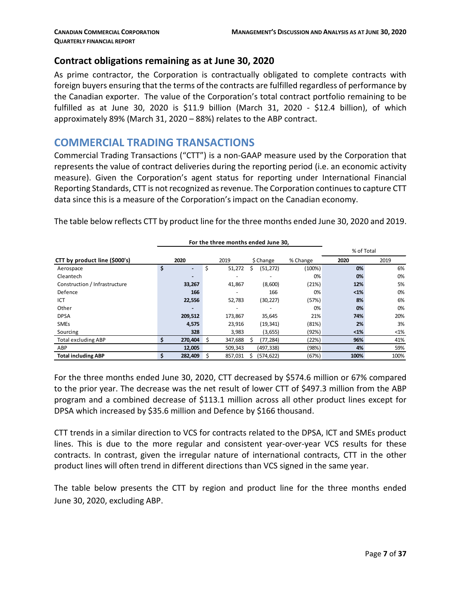#### **Contract obligations remaining as at June 30, 2020**

As prime contractor, the Corporation is contractually obligated to complete contracts with foreign buyers ensuring that the terms of the contracts are fulfilled regardless of performance by the Canadian exporter. The value of the Corporation's total contract portfolio remaining to be fulfilled as at June 30, 2020 is \$11.9 billion (March 31, 2020 - \$12.4 billion), of which approximately 89% (March 31, 2020 – 88%) relates to the ABP contract.

#### <span id="page-6-0"></span>**COMMERCIAL TRADING TRANSACTIONS**

Commercial Trading Transactions ("CTT") is a non-GAAP measure used by the Corporation that represents the value of contract deliveries during the reporting period (i.e. an economic activity measure). Given the Corporation's agent status for reporting under International Financial Reporting Standards, CTT is not recognized as revenue. The Corporation continues to capture CTT data since this is a measure of the Corporation's impact on the Canadian economy.

The table below reflects CTT by product line for the three months ended June 30, 2020 and 2019.

|                               |                      |    | For the three months ended June 30, |   |            |          |      |         |
|-------------------------------|----------------------|----|-------------------------------------|---|------------|----------|------|---------|
|                               | % of Total           |    |                                     |   |            |          |      |         |
| CTT by product line (\$000's) | 2020                 |    | 2019                                |   | \$ Change  | % Change | 2020 | 2019    |
| Aerospace                     | \$<br>$\blacksquare$ | \$ | 51,272                              | S | (51, 272)  | (100%)   | 0%   | 6%      |
| Cleantech                     | -                    |    |                                     |   |            | 0%       | 0%   | 0%      |
| Construction / Infrastructure | 33,267               |    | 41,867                              |   | (8,600)    | (21%)    | 12%  | 5%      |
| Defence                       | 166                  |    |                                     |   | 166        | 0%       | $1%$ | 0%      |
| ICT                           | 22,556               |    | 52,783                              |   | (30, 227)  | (57%)    | 8%   | 6%      |
| Other                         | -                    |    |                                     |   |            | 0%       | 0%   | 0%      |
| <b>DPSA</b>                   | 209,512              |    | 173,867                             |   | 35,645     | 21%      | 74%  | 20%     |
| <b>SMEs</b>                   | 4,575                |    | 23,916                              |   | (19, 341)  | (81%)    | 2%   | 3%      |
| Sourcing                      | 328                  |    | 3,983                               |   | (3,655)    | (92%)    | $1%$ | $< 1\%$ |
| <b>Total excluding ABP</b>    | 270,404<br>S         | S  | 347,688                             |   | (77, 284)  | (22%)    | 96%  | 41%     |
| ABP                           | 12,005               |    | 509,343                             |   | (497, 338) | (98%)    | 4%   | 59%     |
| <b>Total including ABP</b>    | 282,409<br>s         |    | 857,031                             |   | (574, 622) | (67%)    | 100% | 100%    |

For the three months ended June 30, 2020, CTT decreased by \$574.6 million or 67% compared to the prior year. The decrease was the net result of lower CTT of \$497.3 million from the ABP program and a combined decrease of \$113.1 million across all other product lines except for DPSA which increased by \$35.6 million and Defence by \$166 thousand.

CTT trends in a similar direction to VCS for contracts related to the DPSA, ICT and SMEs product lines. This is due to the more regular and consistent year-over-year VCS results for these contracts. In contrast, given the irregular nature of international contracts, CTT in the other product lines will often trend in different directions than VCS signed in the same year.

The table below presents the CTT by region and product line for the three months ended June 30, 2020, excluding ABP.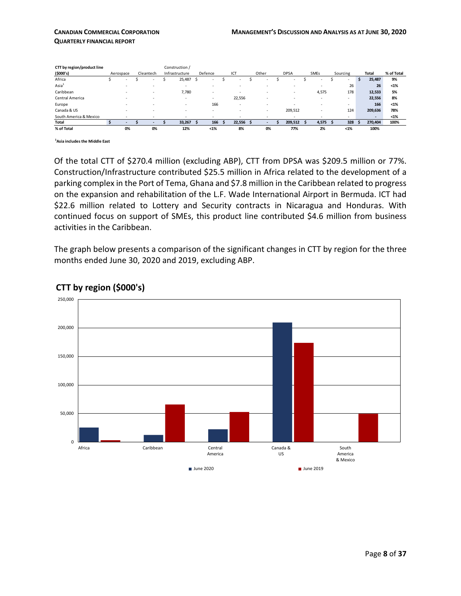| CTT by region/product line |            |                          | Construction / |         |        |     |        |             |             |                          |    |         |            |
|----------------------------|------------|--------------------------|----------------|---------|--------|-----|--------|-------------|-------------|--------------------------|----|---------|------------|
| (5000's)                   | Aerospace  | Cleantech                | Infrastructure | Defence | ICT    |     | Other  | <b>DPSA</b> | <b>SMEs</b> | Sourcing                 |    | Total   | % of Total |
| Africa                     | <b>COL</b> | $\sim$                   | 25,487         | ×.      | ×.     |     | $\sim$ | ×.          | ٠           | $\overline{\phantom{a}}$ | s. | 25,487  | 9%         |
| $\text{Asia}^1$            |            | $\overline{\phantom{a}}$ | $\sim$         |         |        |     |        |             |             | 26                       |    | 26      | $< 1\%$    |
| Caribbean                  |            |                          | 7,780          |         |        |     |        |             | 4,575       | 178                      |    | 12,533  | 5%         |
| Central America            |            | $\overline{\phantom{a}}$ |                | -       | 22,556 |     |        |             | ٠           | ٠                        |    | 22,556  | 8%         |
| Europe                     |            |                          |                | 166     |        |     |        |             |             | ٠                        |    | 166     | $< 1\%$    |
| Canada & US                |            |                          |                |         |        |     |        | 209,512     |             | 124                      |    | 209,636 | 78%        |
| South America & Mexico     |            | ٠                        |                |         |        |     |        |             |             | ٠                        |    | -       | $< 1\%$    |
| <b>Total</b>               | $\sim$     |                          | 33.267         | 166     | 22.556 | - S |        | 209.512     | 4,575       | 328                      |    | 270.404 | 100%       |
| % of Total                 | 0%         | 0%                       | 12%            | $< 1\%$ | 8%     |     | 0%     | 77%         | 2%          | $< 1\%$                  |    | 100%    |            |

**1 Asia includes the Middle East** 

Of the total CTT of \$270.4 million (excluding ABP), CTT from DPSA was \$209.5 million or 77%. Construction/Infrastructure contributed \$25.5 million in Africa related to the development of a parking complex in the Port of Tema, Ghana and \$7.8 million in the Caribbean related to progress on the expansion and rehabilitation of the L.F. Wade International Airport in Bermuda. ICT had \$22.6 million related to Lottery and Security contracts in Nicaragua and Honduras. With continued focus on support of SMEs, this product line contributed \$4.6 million from business activities in the Caribbean.

The graph below presents a comparison of the significant changes in CTT by region for the three months ended June 30, 2020 and 2019, excluding ABP.



#### **CTT by region (\$000's)**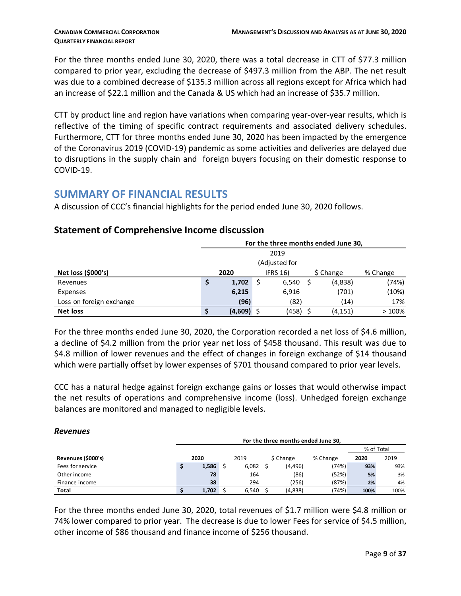*Revenues*

For the three months ended June 30, 2020, there was a total decrease in CTT of \$77.3 million compared to prior year, excluding the decrease of \$497.3 million from the ABP. The net result was due to a combined decrease of \$135.3 million across all regions except for Africa which had an increase of \$22.1 million and the Canada & US which had an increase of \$35.7 million.

CTT by product line and region have variations when comparing year-over-year results, which is reflective of the timing of specific contract requirements and associated delivery schedules. Furthermore, CTT for three months ended June 30, 2020 has been impacted by the emergence of the Coronavirus 2019 (COVID-19) pandemic as some activities and deliveries are delayed due to disruptions in the supply chain and foreign buyers focusing on their domestic response to COVID-19.

# <span id="page-8-0"></span>**SUMMARY OF FINANCIAL RESULTS**

A discussion of CCC's financial highlights for the period ended June 30, 2020 follows.

|                          | For the three months ended June 30,              |         |  |               |  |          |       |  |  |  |  |  |  |  |
|--------------------------|--------------------------------------------------|---------|--|---------------|--|----------|-------|--|--|--|--|--|--|--|
|                          |                                                  |         |  | 2019          |  |          |       |  |  |  |  |  |  |  |
|                          |                                                  |         |  | (Adjusted for |  |          |       |  |  |  |  |  |  |  |
| Net loss (\$000's)       | <b>IFRS 16)</b><br>2020<br>\$ Change<br>% Change |         |  |               |  |          |       |  |  |  |  |  |  |  |
| Revenues                 | \$                                               | 1,702   |  | 6,540         |  | (4,838)  | (74%) |  |  |  |  |  |  |  |
| Expenses                 |                                                  | 6,215   |  | 6,916         |  | (701)    | (10%) |  |  |  |  |  |  |  |
| Loss on foreign exchange |                                                  | (96)    |  | (82)          |  | (14)     | 17%   |  |  |  |  |  |  |  |
| <b>Net loss</b>          |                                                  | (4,609) |  | (458)         |  | (4, 151) | >100% |  |  |  |  |  |  |  |

#### **Statement of Comprehensive Income discussion**

For the three months ended June 30, 2020, the Corporation recorded a net loss of \$4.6 million, a decline of \$4.2 million from the prior year net loss of \$458 thousand. This result was due to \$4.8 million of lower revenues and the effect of changes in foreign exchange of \$14 thousand which were partially offset by lower expenses of \$701 thousand compared to prior year levels.

CCC has a natural hedge against foreign exchange gains or losses that would otherwise impact the net results of operations and comprehensive income (loss). Unhedged foreign exchange balances are monitored and managed to negligible levels.

|                    | For the three months ended June 30, |  |       |            |           |          |      |      |  |  |  |  |  |  |
|--------------------|-------------------------------------|--|-------|------------|-----------|----------|------|------|--|--|--|--|--|--|
|                    |                                     |  |       | % of Total |           |          |      |      |  |  |  |  |  |  |
| Revenues (\$000's) | 2020                                |  | 2019  |            | \$ Change | % Change | 2020 | 2019 |  |  |  |  |  |  |
| Fees for service   | 1,586                               |  | 6,082 |            | (4, 496)  | (74%)    | 93%  | 93%  |  |  |  |  |  |  |
| Other income       | 78                                  |  | 164   |            | (86)      | (52%)    | 5%   | 3%   |  |  |  |  |  |  |
| Finance income     | 38                                  |  | 294   |            | (256)     | (87%)    | 2%   | 4%   |  |  |  |  |  |  |
| <b>Total</b>       | 1.702                               |  | 6,540 |            | (4,838)   | (74%)    | 100% | 100% |  |  |  |  |  |  |

For the three months ended June 30, 2020, total revenues of \$1.7 million were \$4.8 million or 74% lower compared to prior year. The decrease is due to lower Fees for service of \$4.5 million, other income of \$86 thousand and finance income of \$256 thousand.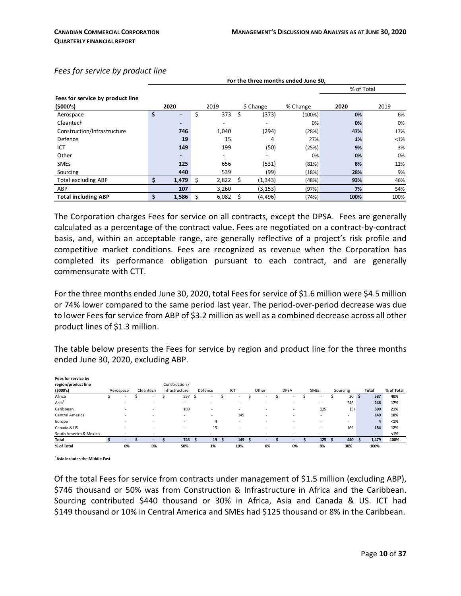**For the three months ended June 30,** 

|  |  |  | Fees for service by product line |  |
|--|--|--|----------------------------------|--|
|--|--|--|----------------------------------|--|

|                                  |    |                          |    |       |             |          | % of Total |         |
|----------------------------------|----|--------------------------|----|-------|-------------|----------|------------|---------|
| Fees for service by product line |    |                          |    |       |             |          |            |         |
| (\$000's)                        |    | 2020                     |    | 2019  | \$ Change   | % Change | 2020       | 2019    |
| Aerospace                        | \$ | $\overline{\phantom{0}}$ | \$ | 373   | \$<br>(373) | (100%)   | 0%         | 6%      |
| Cleantech                        |    | $\overline{\phantom{0}}$ |    |       |             | 0%       | 0%         | 0%      |
| Construction/Infrastructure      |    | 746                      |    | 1,040 | (294)       | (28%)    | 47%        | 17%     |
| Defence                          |    | 19                       |    | 15    | 4           | 27%      | 1%         | $< 1\%$ |
| ICT                              |    | 149                      |    | 199   | (50)        | (25%)    | 9%         | 3%      |
| Other                            |    |                          |    | -     |             | 0%       | 0%         | 0%      |
| <b>SMEs</b>                      |    | 125                      |    | 656   | (531)       | (81%)    | 8%         | 11%     |
| Sourcing                         |    | 440                      |    | 539   | (99)        | (18%)    | 28%        | 9%      |
| <b>Total excluding ABP</b>       | Ś  | 1,479                    | Ŝ  | 2,822 | (1, 343)    | (48%)    | 93%        | 46%     |
| ABP                              |    | 107                      |    | 3,260 | (3, 153)    | (97%)    | 7%         | 54%     |
| <b>Total including ABP</b>       |    | 1,586                    |    | 6,082 | (4, 496)    | (74%)    | 100%       | 100%    |

The Corporation charges Fees for service on all contracts, except the DPSA. Fees are generally calculated as a percentage of the contract value. Fees are negotiated on a contract-by-contract basis, and, within an acceptable range, are generally reflective of a project's risk profile and competitive market conditions. Fees are recognized as revenue when the Corporation has completed its performance obligation pursuant to each contract, and are generally commensurate with CTT.

For the three months ended June 30, 2020, total Fees for service of \$1.6 million were \$4.5 million or 74% lower compared to the same period last year. The period-over-period decrease was due to lower Fees for service from ABP of \$3.2 million as well as a combined decrease across all other product lines of \$1.3 million.

The table below presents the Fees for service by region and product line for the three months ended June 30, 2020, excluding ABP.

| Fees for service by    |                          |                   |                |         |                          |       |             |             |          |     |                          |            |
|------------------------|--------------------------|-------------------|----------------|---------|--------------------------|-------|-------------|-------------|----------|-----|--------------------------|------------|
| region/product line    |                          |                   | Construction / |         |                          |       |             |             |          |     |                          |            |
| (\$000's)              | Aerospace                | Cleantech         | Infrastructure | Defence | ICT                      | Other | <b>DPSA</b> | <b>SMEs</b> | Sourcing |     | <b>Total</b>             | % of Total |
| Africa                 | ۰.                       |                   | 557            | ٠       | $\overline{\phantom{a}}$ |       |             | ٠           | 30       | -\$ | 587                      | 40%        |
| Asia <sup>1</sup>      | $\sim$                   |                   |                | $\sim$  | ٠                        | ٠     |             |             | 246      |     | 246                      | 17%        |
| Caribbean              |                          | ٠                 | 189            | $\sim$  | ٠                        | ٠     |             | 125         | (5)      |     | 309                      | 21%        |
| Central America        | $\overline{\phantom{a}}$ | <b>CONTRACTOR</b> |                | $\sim$  | 149                      | ٠     | . .         | $\sim$      |          |     | 149                      | 10%        |
| Europe                 | $\overline{\phantom{a}}$ |                   | $\overline{a}$ | 4       | ۰                        | ٠     |             |             |          |     | 4                        | $< 1\%$    |
| Canada & US            | $\sim$                   | -                 |                | 15      | ٠                        |       |             |             | 169      |     | 184                      | 12%        |
| South America & Mexico |                          |                   | ٠              | ۰       | ٠                        |       |             |             |          |     | $\overline{\phantom{a}}$ | $1%$       |
| <b>Total</b>           |                          |                   | 746            | 19      | 149                      |       |             | 125         | 440      |     | 1,479                    | 100%       |
| % of Total             | 0%                       | 0%                | 50%            | 1%      | 10%                      | 0%    | 0%          | 8%          | 30%      |     | 100%                     |            |
|                        |                          |                   |                |         |                          |       |             |             |          |     |                          |            |

**1 Asia includes the Middle East** 

Of the total Fees for service from contracts under management of \$1.5 million (excluding ABP), \$746 thousand or 50% was from Construction & Infrastructure in Africa and the Caribbean. Sourcing contributed \$440 thousand or 30% in Africa, Asia and Canada & US. ICT had \$149 thousand or 10% in Central America and SMEs had \$125 thousand or 8% in the Caribbean.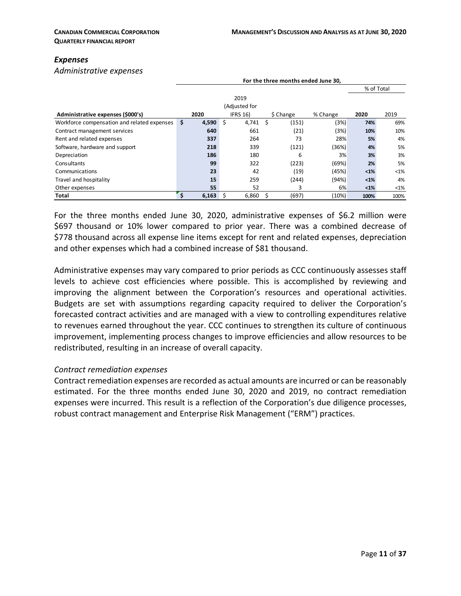#### *Expenses*

*Administrative expenses*

|                                             | For the three months ended June 30, |       |                 |   |           |          |            |         |  |  |  |  |  |
|---------------------------------------------|-------------------------------------|-------|-----------------|---|-----------|----------|------------|---------|--|--|--|--|--|
|                                             |                                     |       |                 |   |           |          | % of Total |         |  |  |  |  |  |
|                                             |                                     |       | 2019            |   |           |          |            |         |  |  |  |  |  |
|                                             |                                     |       | (Adjusted for   |   |           |          |            |         |  |  |  |  |  |
| Administrative expenses (\$000's)           |                                     | 2020  | <b>IFRS 16)</b> |   | \$ Change | % Change | 2020       | 2019    |  |  |  |  |  |
| Workforce compensation and related expenses | \$                                  | 4,590 | \$<br>4,741     | Ś | (151)     | (3%)     | 74%        | 69%     |  |  |  |  |  |
| Contract management services                |                                     | 640   | 661             |   | (21)      | (3%)     | 10%        | 10%     |  |  |  |  |  |
| Rent and related expenses                   |                                     | 337   | 264             |   | 73        | 28%      | 5%         | 4%      |  |  |  |  |  |
| Software, hardware and support              |                                     | 218   | 339             |   | (121)     | (36%)    | 4%         | 5%      |  |  |  |  |  |
| Depreciation                                |                                     | 186   | 180             |   | 6         | 3%       | 3%         | 3%      |  |  |  |  |  |
| Consultants                                 |                                     | 99    | 322             |   | (223)     | (69%)    | 2%         | 5%      |  |  |  |  |  |
| Communications                              |                                     | 23    | 42              |   | (19)      | (45%)    | $1%$       | $< 1\%$ |  |  |  |  |  |
| Travel and hospitality                      |                                     | 15    | 259             |   | (244)     | (94%)    | $1%$       | 4%      |  |  |  |  |  |
| Other expenses                              |                                     | 55    | 52              |   | 3         | 6%       | $1%$       | $<1\%$  |  |  |  |  |  |
| Total                                       |                                     | 6,163 | 6,860           |   | (697)     | (10%)    | 100%       | 100%    |  |  |  |  |  |

For the three months ended June 30, 2020, administrative expenses of \$6.2 million were \$697 thousand or 10% lower compared to prior year. There was a combined decrease of \$778 thousand across all expense line items except for rent and related expenses, depreciation and other expenses which had a combined increase of \$81 thousand.

Administrative expenses may vary compared to prior periods as CCC continuously assesses staff levels to achieve cost efficiencies where possible. This is accomplished by reviewing and improving the alignment between the Corporation's resources and operational activities. Budgets are set with assumptions regarding capacity required to deliver the Corporation's forecasted contract activities and are managed with a view to controlling expenditures relative to revenues earned throughout the year. CCC continues to strengthen its culture of continuous improvement, implementing process changes to improve efficiencies and allow resources to be redistributed, resulting in an increase of overall capacity.

#### *Contract remediation expenses*

Contract remediation expenses are recorded as actual amounts are incurred or can be reasonably estimated. For the three months ended June 30, 2020 and 2019, no contract remediation expenses were incurred. This result is a reflection of the Corporation's due diligence processes, robust contract management and Enterprise Risk Management ("ERM") practices.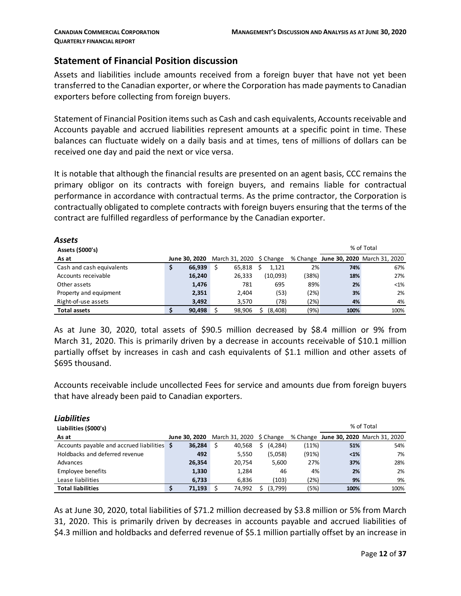#### **Statement of Financial Position discussion**

Assets and liabilities include amounts received from a foreign buyer that have not yet been transferred to the Canadian exporter, or where the Corporation has made payments to Canadian exporters before collecting from foreign buyers.

Statement of Financial Position items such as Cash and cash equivalents, Accounts receivable and Accounts payable and accrued liabilities represent amounts at a specific point in time. These balances can fluctuate widely on a daily basis and at times, tens of millions of dollars can be received one day and paid the next or vice versa.

It is notable that although the financial results are presented on an agent basis, CCC remains the primary obligor on its contracts with foreign buyers, and remains liable for contractual performance in accordance with contractual terms. As the prime contractor, the Corporation is contractually obligated to complete contracts with foreign buyers ensuring that the terms of the contract are fulfilled regardless of performance by the Canadian exporter.

| Assets                    |               |   |                               |          |       |      |                                       |
|---------------------------|---------------|---|-------------------------------|----------|-------|------|---------------------------------------|
| Assets (\$000's)          |               |   |                               |          |       |      | % of Total                            |
| As at                     | June 30, 2020 |   | March 31, 2020 $\,$ \$ Change |          |       |      | % Change June 30, 2020 March 31, 2020 |
| Cash and cash equivalents | \$<br>66.939  | Ś | 65,818                        | 1.121    | 2%    | 74%  | 67%                                   |
| Accounts receivable       | 16,240        |   | 26,333                        | (10,093) | (38%) | 18%  | 27%                                   |
| Other assets              | 1,476         |   | 781                           | 695      | 89%   | 2%   | $<$ 1%                                |
| Property and equipment    | 2,351         |   | 2.404                         | (53)     | (2%)  | 3%   | 2%                                    |
| Right-of-use assets       | 3,492         |   | 3.570                         | (78)     | (2%)  | 4%   | 4%                                    |
| <b>Total assets</b>       | \$<br>90.498  |   | 98.906                        | (8,408)  | (9%)  | 100% | 100%                                  |

As at June 30, 2020, total assets of \$90.5 million decreased by \$8.4 million or 9% from March 31, 2020. This is primarily driven by a decrease in accounts receivable of \$10.1 million partially offset by increases in cash and cash equivalents of \$1.1 million and other assets of \$695 thousand.

Accounts receivable include uncollected Fees for service and amounts due from foreign buyers that have already been paid to Canadian exporters.

| <b>Liabilities</b>                          |        |                                               |         |       |      |                                       |
|---------------------------------------------|--------|-----------------------------------------------|---------|-------|------|---------------------------------------|
| Liabilities (\$000's)                       |        |                                               |         |       |      | % of Total                            |
| As at                                       |        | <b>June 30, 2020</b> March 31, 2020 \$ Change |         |       |      | % Change June 30, 2020 March 31, 2020 |
| Accounts payable and accrued liabilities \$ | 36,284 | 40,568<br>\$                                  | (4,284) | (11%) | 51%  | 54%                                   |
| Holdbacks and deferred revenue              | 492    | 5.550                                         | (5,058) | (91%) | $1%$ | 7%                                    |
| Advances                                    | 26,354 | 20,754                                        | 5,600   | 27%   | 37%  | 28%                                   |
| Employee benefits                           | 1,330  | 1,284                                         | 46      | 4%    | 2%   | 2%                                    |
| Lease liabilities                           | 6,733  | 6,836                                         | (103)   | (2%)  | 9%   | 9%                                    |
| <b>Total liabilities</b>                    | 71,193 | 74,992                                        | (3,799) | (5%)  | 100% | 100%                                  |

As at June 30, 2020, total liabilities of \$71.2 million decreased by \$3.8 million or 5% from March 31, 2020. This is primarily driven by decreases in accounts payable and accrued liabilities of \$4.3 million and holdbacks and deferred revenue of \$5.1 million partially offset by an increase in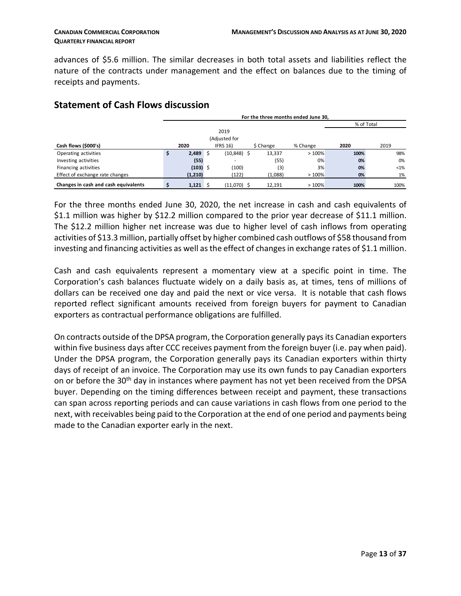advances of \$5.6 million. The similar decreases in both total assets and liabilities reflect the nature of the contracts under management and the effect on balances due to the timing of receipts and payments.

|                                      | For the three months ended June 30, |            |  |                 |  |           |          |      |            |  |
|--------------------------------------|-------------------------------------|------------|--|-----------------|--|-----------|----------|------|------------|--|
|                                      |                                     |            |  |                 |  |           |          |      | % of Total |  |
|                                      |                                     |            |  | 2019            |  |           |          |      |            |  |
|                                      |                                     |            |  | (Adjusted for   |  |           |          |      |            |  |
| Cash flows (\$000's)                 |                                     | 2020       |  | <b>IFRS 16)</b> |  | \$ Change | % Change | 2020 | 2019       |  |
| Operating activities                 | s                                   | $2,489$ \$ |  | (10,848) \$     |  | 13,337    | >100%    | 100% | 98%        |  |
| Investing activities                 |                                     | (55)       |  | ۰               |  | (55)      | 0%       | 0%   | 0%         |  |
| Financing activities                 |                                     | $(103)$ \$ |  | (100)           |  | (3)       | 3%       | 0%   | $< 1\%$    |  |
| Effect of exchange rate changes      |                                     | (1,210)    |  | (122)           |  | (1,088)   | >100%    | 0%   | 1%         |  |
| Changes in cash and cash equivalents |                                     | $1,121$ \$ |  | (11,070) \$     |  | 12,191    | >100%    | 100% | 100%       |  |

# **Statement of Cash Flows discussion**

For the three months ended June 30, 2020, the net increase in cash and cash equivalents of \$1.1 million was higher by \$12.2 million compared to the prior year decrease of \$11.1 million. The \$12.2 million higher net increase was due to higher level of cash inflows from operating activities of \$13.3 million, partially offset by higher combined cash outflows of \$58 thousand from investing and financing activities as well as the effect of changes in exchange rates of \$1.1 million.

Cash and cash equivalents represent a momentary view at a specific point in time. The Corporation's cash balances fluctuate widely on a daily basis as, at times, tens of millions of dollars can be received one day and paid the next or vice versa. It is notable that cash flows reported reflect significant amounts received from foreign buyers for payment to Canadian exporters as contractual performance obligations are fulfilled.

On contracts outside of the DPSA program, the Corporation generally pays its Canadian exporters within five business days after CCC receives payment from the foreign buyer (i.e. pay when paid). Under the DPSA program, the Corporation generally pays its Canadian exporters within thirty days of receipt of an invoice. The Corporation may use its own funds to pay Canadian exporters on or before the 30<sup>th</sup> day in instances where payment has not yet been received from the DPSA buyer. Depending on the timing differences between receipt and payment, these transactions can span across reporting periods and can cause variations in cash flows from one period to the next, with receivables being paid to the Corporation at the end of one period and payments being made to the Canadian exporter early in the next.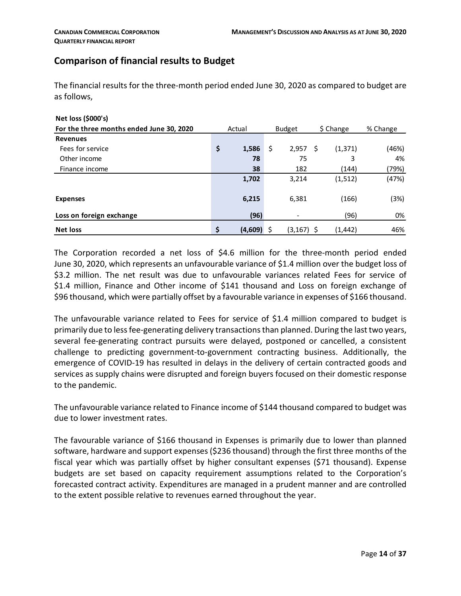# **Comparison of financial results to Budget**

The financial results for the three-month period ended June 30, 2020 as compared to budget are as follows,

| Net loss (\$000's)                       |               |               |           |          |          |
|------------------------------------------|---------------|---------------|-----------|----------|----------|
| For the three months ended June 30, 2020 | Actual        | <b>Budget</b> | \$ Change |          | % Change |
| <b>Revenues</b>                          |               |               |           |          |          |
| Fees for service                         | \$<br>1,586   | \$<br>2,957   | S         | (1, 371) | (46%)    |
| Other income                             | 78            | 75            |           | 3        | 4%       |
| Finance income                           | 38            | 182           |           | (144)    | (79%)    |
|                                          | 1,702         | 3,214         |           | (1,512)  | (47%)    |
| <b>Expenses</b>                          | 6,215         | 6,381         |           | (166)    | (3%)     |
| Loss on foreign exchange                 | (96)          |               |           | (96)     | 0%       |
| <b>Net loss</b>                          | \$<br>(4,609) | (3,167) \$    |           | (1,442)  | 46%      |

The Corporation recorded a net loss of \$4.6 million for the three-month period ended June 30, 2020, which represents an unfavourable variance of \$1.4 million over the budget loss of \$3.2 million. The net result was due to unfavourable variances related Fees for service of \$1.4 million, Finance and Other income of \$141 thousand and Loss on foreign exchange of \$96 thousand, which were partially offset by a favourable variance in expenses of \$166 thousand.

The unfavourable variance related to Fees for service of \$1.4 million compared to budget is primarily due to less fee-generating delivery transactions than planned. During the last two years, several fee-generating contract pursuits were delayed, postponed or cancelled, a consistent challenge to predicting government-to-government contracting business. Additionally, the emergence of COVID-19 has resulted in delays in the delivery of certain contracted goods and services as supply chains were disrupted and foreign buyers focused on their domestic response to the pandemic.

The unfavourable variance related to Finance income of \$144 thousand compared to budget was due to lower investment rates.

The favourable variance of \$166 thousand in Expenses is primarily due to lower than planned software, hardware and support expenses (\$236 thousand) through the first three months of the fiscal year which was partially offset by higher consultant expenses (\$71 thousand). Expense budgets are set based on capacity requirement assumptions related to the Corporation's forecasted contract activity. Expenditures are managed in a prudent manner and are controlled to the extent possible relative to revenues earned throughout the year.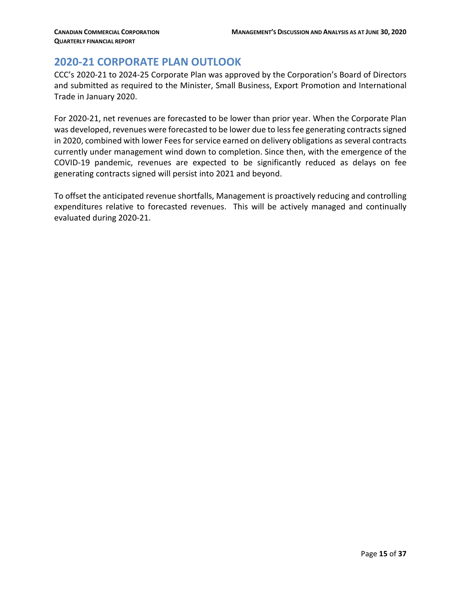# <span id="page-14-0"></span>**2020-21 CORPORATE PLAN OUTLOOK**

CCC's 2020-21 to 2024-25 Corporate Plan was approved by the Corporation's Board of Directors and submitted as required to the Minister, Small Business, Export Promotion and International Trade in January 2020.

For 2020-21, net revenues are forecasted to be lower than prior year. When the Corporate Plan was developed, revenues were forecasted to be lower due to lessfee generating contracts signed in 2020, combined with lower Fees for service earned on delivery obligations as several contracts currently under management wind down to completion. Since then, with the emergence of the COVID-19 pandemic, revenues are expected to be significantly reduced as delays on fee generating contracts signed will persist into 2021 and beyond.

To offset the anticipated revenue shortfalls, Management is proactively reducing and controlling expenditures relative to forecasted revenues. This will be actively managed and continually evaluated during 2020-21.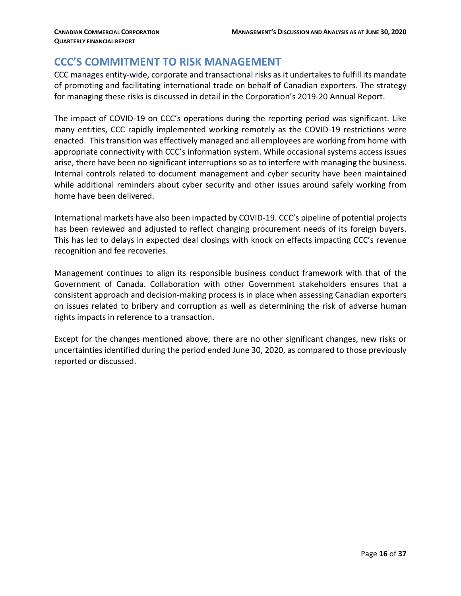## <span id="page-15-0"></span>**CCC'S COMMITMENT TO RISK MANAGEMENT**

CCC manages entity-wide, corporate and transactional risks as it undertakes to fulfill its mandate of promoting and facilitating international trade on behalf of Canadian exporters. The strategy for managing these risks is discussed in detail in the Corporation's 2019-20 Annual Report.

The impact of COVID-19 on CCC's operations during the reporting period was significant. Like many entities, CCC rapidly implemented working remotely as the COVID-19 restrictions were enacted. This transition was effectively managed and all employees are working from home with appropriate connectivity with CCC's information system. While occasional systems access issues arise, there have been no significant interruptions so as to interfere with managing the business. Internal controls related to document management and cyber security have been maintained while additional reminders about cyber security and other issues around safely working from home have been delivered.

International markets have also been impacted by COVID-19. CCC's pipeline of potential projects has been reviewed and adjusted to reflect changing procurement needs of its foreign buyers. This has led to delays in expected deal closings with knock on effects impacting CCC's revenue recognition and fee recoveries.

Management continues to align its responsible business conduct framework with that of the Government of Canada. Collaboration with other Government stakeholders ensures that a consistent approach and decision-making process is in place when assessing Canadian exporters on issues related to bribery and corruption as well as determining the risk of adverse human rights impacts in reference to a transaction.

Except for the changes mentioned above, there are no other significant changes, new risks or uncertainties identified during the period ended June 30, 2020, as compared to those previously reported or discussed.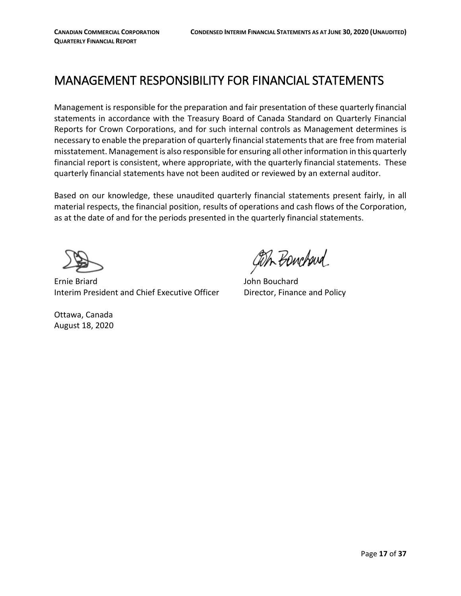# <span id="page-16-0"></span>MANAGEMENT RESPONSIBILITY FOR FINANCIAL STATEMENTS

Management is responsible for the preparation and fair presentation of these quarterly financial statements in accordance with the Treasury Board of Canada Standard on Quarterly Financial Reports for Crown Corporations, and for such internal controls as Management determines is necessary to enable the preparation of quarterly financial statements that are free from material misstatement. Management is also responsible for ensuring all other information in this quarterly financial report is consistent, where appropriate, with the quarterly financial statements. These quarterly financial statements have not been audited or reviewed by an external auditor.

Based on our knowledge, these unaudited quarterly financial statements present fairly, in all material respects, the financial position, results of operations and cash flows of the Corporation, as at the date of and for the periods presented in the quarterly financial statements.

Ottawa, Canada August 18, 2020

 Ernie Briard John Bouchard Interim President and Chief Executive Officer Director, Finance and Policy

GOIL BONCHOUR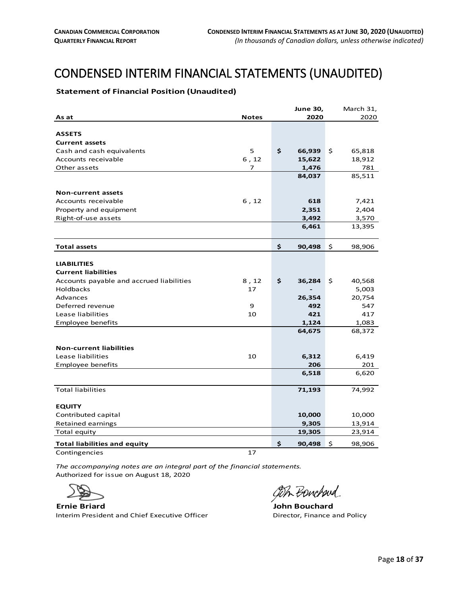# <span id="page-17-0"></span>CONDENSED INTERIM FINANCIAL STATEMENTS (UNAUDITED)

#### <span id="page-17-1"></span>**Statement of Financial Position (Unaudited)**

|                                                  | <b>June 30,</b> | March 31,    |
|--------------------------------------------------|-----------------|--------------|
| <b>Notes</b><br>As at                            | 2020            | 2020         |
|                                                  |                 |              |
| <b>ASSETS</b>                                    |                 |              |
| <b>Current assets</b>                            |                 |              |
| 5<br>Cash and cash equivalents                   | \$<br>66,939    | \$<br>65,818 |
| 6, 12<br>Accounts receivable                     | 15,622          | 18,912       |
| Other assets<br>7                                | 1,476           | 781          |
|                                                  | 84,037          | 85,511       |
|                                                  |                 |              |
| <b>Non-current assets</b>                        |                 |              |
| 6, 12<br>Accounts receivable                     | 618             | 7,421        |
| Property and equipment                           | 2,351           | 2,404        |
| Right-of-use assets                              | 3,492           | 3,570        |
|                                                  | 6,461           | 13,395       |
| <b>Total assets</b>                              | \$<br>90,498    | \$<br>98,906 |
|                                                  |                 |              |
| <b>LIABILITIES</b>                               |                 |              |
| <b>Current liabilities</b>                       |                 |              |
| Accounts payable and accrued liabilities<br>8,12 | \$<br>36,284    | \$<br>40,568 |
| <b>Holdbacks</b><br>17                           |                 | 5,003        |
| Advances                                         | 26,354          | 20,754       |
| Deferred revenue<br>9                            | 492             | 547          |
| Lease liabilities<br>10                          | 421             | 417          |
| <b>Employee benefits</b>                         | 1,124           | 1,083        |
|                                                  | 64,675          | 68,372       |
|                                                  |                 |              |
| <b>Non-current liabilities</b>                   |                 |              |
| Lease liabilities<br>10                          | 6,312           | 6,419        |
| <b>Employee benefits</b>                         | 206             | 201          |
|                                                  | 6,518           | 6,620        |
| <b>Total liabilities</b>                         | 71,193          | 74,992       |
| <b>EQUITY</b>                                    |                 |              |
| Contributed capital                              | 10,000          | 10,000       |
| Retained earnings                                | 9,305           | 13,914       |
| Total equity                                     | 19,305          | 23,914       |
| <b>Total liabilities and equity</b>              | 90,498<br>\$    | \$<br>98,906 |

Contingencies 2012 17

*The accompanying notes are an integral part of the financial statements.* Authorized for issue on August 18, 2020



**Ernie Briard John Bouchard** Interim President and Chief Executive Officer **Director, Finance and Policy** 

ash Bouchard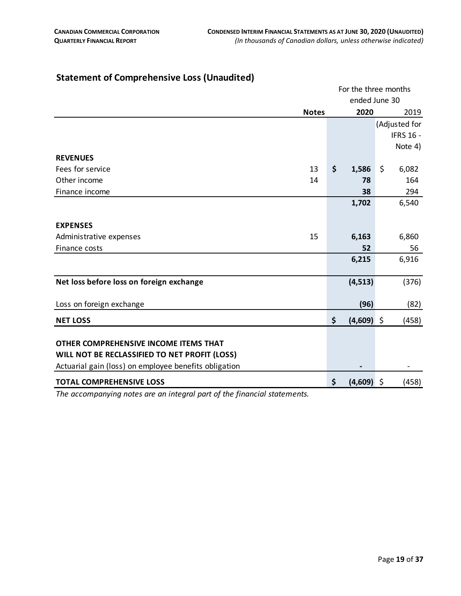|                                                       |              | For the three months |               |    |                  |  |  |  |
|-------------------------------------------------------|--------------|----------------------|---------------|----|------------------|--|--|--|
|                                                       |              |                      | ended June 30 |    |                  |  |  |  |
|                                                       | <b>Notes</b> |                      | 2020          |    | 2019             |  |  |  |
|                                                       |              |                      |               |    | (Adjusted for    |  |  |  |
|                                                       |              |                      |               |    | <b>IFRS 16 -</b> |  |  |  |
|                                                       |              |                      |               |    | Note 4)          |  |  |  |
| <b>REVENUES</b>                                       |              |                      |               |    |                  |  |  |  |
| Fees for service                                      | 13           | \$                   | 1,586         | \$ | 6,082            |  |  |  |
| Other income                                          | 14           |                      | 78            |    | 164              |  |  |  |
| Finance income                                        |              |                      | 38            |    | 294              |  |  |  |
|                                                       |              |                      | 1,702         |    | 6,540            |  |  |  |
|                                                       |              |                      |               |    |                  |  |  |  |
| <b>EXPENSES</b>                                       |              |                      |               |    |                  |  |  |  |
| Administrative expenses                               | 15           |                      | 6,163         |    | 6,860            |  |  |  |
| Finance costs                                         |              |                      | 52            |    | 56               |  |  |  |
|                                                       |              |                      | 6,215         |    | 6,916            |  |  |  |
|                                                       |              |                      |               |    |                  |  |  |  |
| Net loss before loss on foreign exchange              |              |                      | (4, 513)      |    | (376)            |  |  |  |
|                                                       |              |                      |               |    |                  |  |  |  |
| Loss on foreign exchange                              |              |                      | (96)          |    | (82)             |  |  |  |
| <b>NET LOSS</b>                                       |              | \$                   | $(4,609)$ \$  |    | (458)            |  |  |  |
|                                                       |              |                      |               |    |                  |  |  |  |
| OTHER COMPREHENSIVE INCOME ITEMS THAT                 |              |                      |               |    |                  |  |  |  |
| WILL NOT BE RECLASSIFIED TO NET PROFIT (LOSS)         |              |                      |               |    |                  |  |  |  |
| Actuarial gain (loss) on employee benefits obligation |              |                      |               |    |                  |  |  |  |
| <b>TOTAL COMPREHENSIVE LOSS</b>                       |              | \$                   | $(4,609)$ \$  |    | (458)            |  |  |  |

#### **Statement of Comprehensive Loss (Unaudited)**

<span id="page-18-0"></span>*The accompanying notes are an integral part of the financial statements.*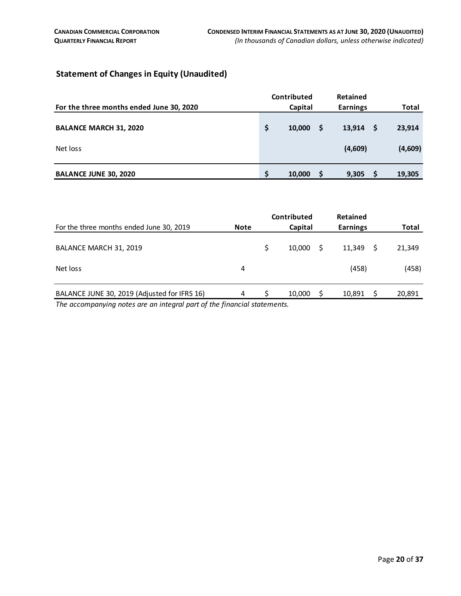#### <span id="page-19-0"></span>**Statement of Changes in Equity (Unaudited)**

| For the three months ended June 30, 2020 |          | Contributed<br>Capital |    | Retained<br><b>Earnings</b> |     | Total   |
|------------------------------------------|----------|------------------------|----|-----------------------------|-----|---------|
| <b>BALANCE MARCH 31, 2020</b>            | Ŝ        | 10,000                 | -S | 13,914                      | - S | 23,914  |
| Net loss                                 |          |                        |    | (4,609)                     |     | (4,609) |
| <b>BALANCE JUNE 30, 2020</b>             | <b>S</b> | 10,000                 | S  | 9,305                       |     | 19,305  |

|                                              |             | Contributed |    | <b>Retained</b> |        |
|----------------------------------------------|-------------|-------------|----|-----------------|--------|
| For the three months ended June 30, 2019     | <b>Note</b> | Capital     |    | <b>Earnings</b> | Total  |
| BALANCE MARCH 31, 2019                       |             | 10.000      | -S | 11.349          | 21,349 |
| Net loss                                     | 4           |             |    | (458)           | (458)  |
| BALANCE JUNE 30, 2019 (Adjusted for IFRS 16) | 4           | 10,000      |    | 10,891          | 20,891 |

*The accompanying notes are an integral part of the financial statements.*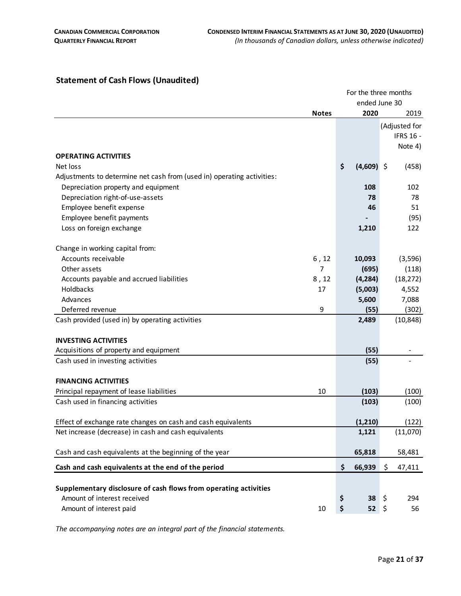#### <span id="page-20-0"></span>**Statement of Cash Flows (Unaudited)**

|                                                                        |              |                    |          | For the three months |
|------------------------------------------------------------------------|--------------|--------------------|----------|----------------------|
|                                                                        |              |                    |          | ended June 30        |
|                                                                        | <b>Notes</b> | 2020               |          | 2019                 |
|                                                                        |              |                    |          | (Adjusted for        |
|                                                                        |              |                    |          | <b>IFRS 16 -</b>     |
|                                                                        |              |                    |          | Note 4)              |
| <b>OPERATING ACTIVITIES</b>                                            |              |                    |          |                      |
| Net loss                                                               |              | \$<br>$(4,609)$ \$ |          | (458)                |
| Adjustments to determine net cash from (used in) operating activities: |              |                    |          |                      |
| Depreciation property and equipment                                    |              | 108                |          | 102                  |
| Depreciation right-of-use-assets                                       |              |                    | 78       | 78                   |
| Employee benefit expense                                               |              |                    | 46       | 51                   |
| Employee benefit payments                                              |              |                    |          | (95)                 |
| Loss on foreign exchange                                               |              | 1,210              |          | 122                  |
| Change in working capital from:                                        |              |                    |          |                      |
| Accounts receivable                                                    | 6, 12        | 10,093             |          | (3, 596)             |
| Other assets                                                           | 7            | (695)              |          | (118)                |
| Accounts payable and accrued liabilities                               | 8,12         | (4, 284)           |          | (18, 272)            |
| Holdbacks                                                              | 17           | (5,003)            |          | 4,552                |
| Advances                                                               |              | 5,600              |          | 7,088                |
| Deferred revenue                                                       | 9            |                    | (55)     | (302)                |
| Cash provided (used in) by operating activities                        |              | 2,489              |          | (10, 848)            |
|                                                                        |              |                    |          |                      |
| <b>INVESTING ACTIVITIES</b>                                            |              |                    |          |                      |
| Acquisitions of property and equipment                                 |              |                    | (55)     |                      |
| Cash used in investing activities                                      |              |                    | (55)     |                      |
| <b>FINANCING ACTIVITIES</b>                                            |              |                    |          |                      |
| Principal repayment of lease liabilities                               | 10           | (103)              |          | (100)                |
| Cash used in financing activities                                      |              | (103)              |          | (100)                |
|                                                                        |              |                    |          |                      |
| Effect of exchange rate changes on cash and cash equivalents           |              | (1, 210)           |          | (122)                |
| Net increase (decrease) in cash and cash equivalents                   |              | 1,121              |          | (11,070)             |
| Cash and cash equivalents at the beginning of the year                 |              | 65,818             |          | 58,481               |
| Cash and cash equivalents at the end of the period                     |              | \$<br>66,939       |          | \$<br>47,411         |
|                                                                        |              |                    |          |                      |
| Supplementary disclosure of cash flows from operating activities       |              |                    |          |                      |
| Amount of interest received                                            |              | \$                 | \$<br>38 | 294                  |
| Amount of interest paid                                                | 10           | \$                 | \$<br>52 | 56                   |
|                                                                        |              |                    |          |                      |

*The accompanying notes are an integral part of the financial statements.*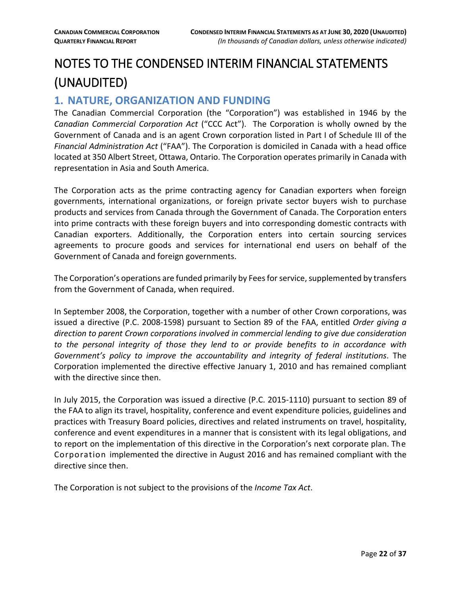# <span id="page-21-0"></span>NOTES TO THE CONDENSED INTERIM FINANCIAL STATEMENTS (UNAUDITED)

# <span id="page-21-1"></span>**1. NATURE, ORGANIZATION AND FUNDING**

The Canadian Commercial Corporation (the "Corporation") was established in 1946 by the *Canadian Commercial Corporation Act* ("CCC Act"). The Corporation is wholly owned by the Government of Canada and is an agent Crown corporation listed in Part I of Schedule III of the *Financial Administration Act* ("FAA"). The Corporation is domiciled in Canada with a head office located at 350 Albert Street, Ottawa, Ontario. The Corporation operates primarily in Canada with representation in Asia and South America.

The Corporation acts as the prime contracting agency for Canadian exporters when foreign governments, international organizations, or foreign private sector buyers wish to purchase products and services from Canada through the Government of Canada. The Corporation enters into prime contracts with these foreign buyers and into corresponding domestic contracts with Canadian exporters. Additionally, the Corporation enters into certain sourcing services agreements to procure goods and services for international end users on behalf of the Government of Canada and foreign governments.

The Corporation's operations are funded primarily by Fees for service, supplemented by transfers from the Government of Canada, when required.

In September 2008, the Corporation, together with a number of other Crown corporations, was issued a directive (P.C. 2008-1598) pursuant to Section 89 of the FAA, entitled *Order giving a direction to parent Crown corporations involved in commercial lending to give due consideration to the personal integrity of those they lend to or provide benefits to in accordance with Government's policy to improve the accountability and integrity of federal institutions*. The Corporation implemented the directive effective January 1, 2010 and has remained compliant with the directive since then.

In July 2015, the Corporation was issued a directive (P.C. 2015-1110) pursuant to section 89 of the FAA to align its travel, hospitality, conference and event expenditure policies, guidelines and practices with Treasury Board policies, directives and related instruments on travel, hospitality, conference and event expenditures in a manner that is consistent with its legal obligations, and to report on the implementation of this directive in the Corporation's next corporate plan. The Corporation implemented the directive in August 2016 and has remained compliant with the directive since then.

The Corporation is not subject to the provisions of the *Income Tax Act*.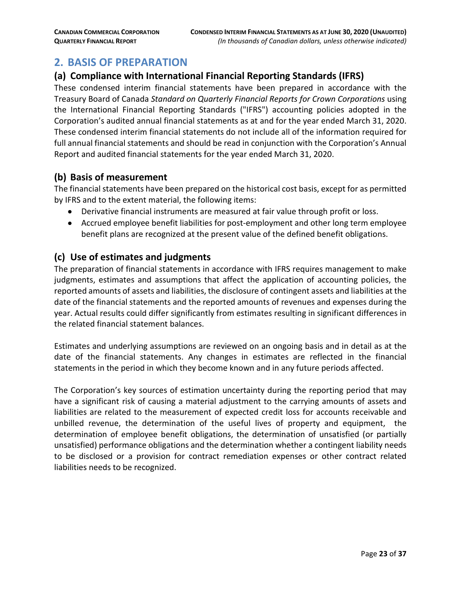# <span id="page-22-0"></span>**2. BASIS OF PREPARATION**

#### **(a) Compliance with International Financial Reporting Standards (IFRS)**

These condensed interim financial statements have been prepared in accordance with the Treasury Board of Canada *Standard on Quarterly Financial Reports for Crown Corporations* using the International Financial Reporting Standards ("IFRS") accounting policies adopted in the Corporation's audited annual financial statements as at and for the year ended March 31, 2020. These condensed interim financial statements do not include all of the information required for full annual financial statements and should be read in conjunction with the Corporation's Annual Report and audited financial statements for the year ended March 31, 2020.

#### **(b) Basis of measurement**

The financial statements have been prepared on the historical cost basis, except for as permitted by IFRS and to the extent material, the following items:

- Derivative financial instruments are measured at fair value through profit or loss.
- Accrued employee benefit liabilities for post-employment and other long term employee benefit plans are recognized at the present value of the defined benefit obligations.

#### **(c) Use of estimates and judgments**

The preparation of financial statements in accordance with IFRS requires management to make judgments, estimates and assumptions that affect the application of accounting policies, the reported amounts of assets and liabilities, the disclosure of contingent assets and liabilities at the date of the financial statements and the reported amounts of revenues and expenses during the year. Actual results could differ significantly from estimates resulting in significant differences in the related financial statement balances.

Estimates and underlying assumptions are reviewed on an ongoing basis and in detail as at the date of the financial statements. Any changes in estimates are reflected in the financial statements in the period in which they become known and in any future periods affected.

The Corporation's key sources of estimation uncertainty during the reporting period that may have a significant risk of causing a material adjustment to the carrying amounts of assets and liabilities are related to the measurement of expected credit loss for accounts receivable and unbilled revenue, the determination of the useful lives of property and equipment, the determination of employee benefit obligations, the determination of unsatisfied (or partially unsatisfied) performance obligations and the determination whether a contingent liability needs to be disclosed or a provision for contract remediation expenses or other contract related liabilities needs to be recognized.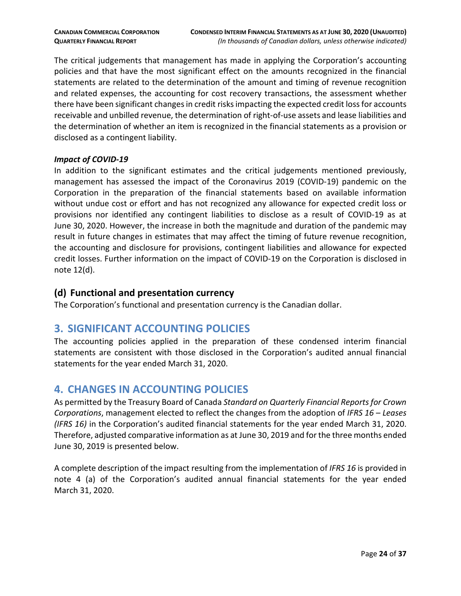The critical judgements that management has made in applying the Corporation's accounting policies and that have the most significant effect on the amounts recognized in the financial statements are related to the determination of the amount and timing of revenue recognition and related expenses, the accounting for cost recovery transactions, the assessment whether there have been significant changes in credit risks impacting the expected credit loss for accounts receivable and unbilled revenue, the determination of right-of-use assets and lease liabilities and the determination of whether an item is recognized in the financial statements as a provision or disclosed as a contingent liability.

#### *Impact of COVID-19*

In addition to the significant estimates and the critical judgements mentioned previously, management has assessed the impact of the Coronavirus 2019 (COVID-19) pandemic on the Corporation in the preparation of the financial statements based on available information without undue cost or effort and has not recognized any allowance for expected credit loss or provisions nor identified any contingent liabilities to disclose as a result of COVID-19 as at June 30, 2020. However, the increase in both the magnitude and duration of the pandemic may result in future changes in estimates that may affect the timing of future revenue recognition, the accounting and disclosure for provisions, contingent liabilities and allowance for expected credit losses. Further information on the impact of COVID-19 on the Corporation is disclosed in note 12(d).

#### **(d) Functional and presentation currency**

The Corporation's functional and presentation currency is the Canadian dollar.

## <span id="page-23-0"></span>**3. SIGNIFICANT ACCOUNTING POLICIES**

The accounting policies applied in the preparation of these condensed interim financial statements are consistent with those disclosed in the Corporation's audited annual financial statements for the year ended March 31, 2020.

# <span id="page-23-1"></span>**4. CHANGES IN ACCOUNTING POLICIES**

As permitted by the Treasury Board of Canada *Standard on Quarterly Financial Reports for Crown Corporations*, management elected to reflect the changes from the adoption of *IFRS 16 – Leases (IFRS 16)* in the Corporation's audited financial statements for the year ended March 31, 2020. Therefore, adjusted comparative information as at June 30, 2019 and for the three months ended June 30, 2019 is presented below.

A complete description of the impact resulting from the implementation of *IFRS 16* is provided in note 4 (a) of the Corporation's audited annual financial statements for the year ended March 31, 2020.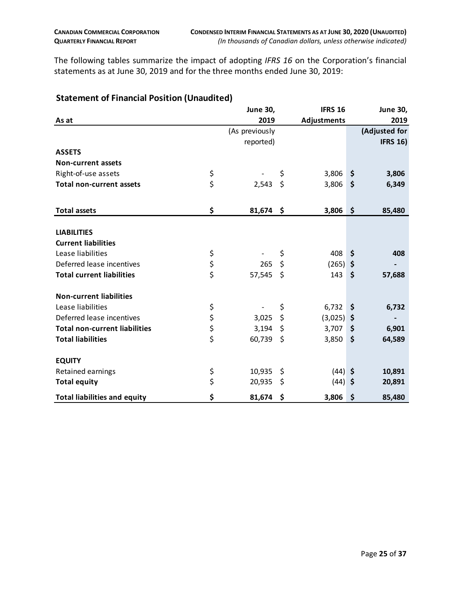The following tables summarize the impact of adopting *IFRS 16* on the Corporation's financial statements as at June 30, 2019 and for the three months ended June 30, 2019:

|                                      | <b>June 30,</b> |                    | <b>IFRS 16</b> |                    | <b>June 30,</b> |
|--------------------------------------|-----------------|--------------------|----------------|--------------------|-----------------|
| As at                                | 2019            |                    | Adjustments    |                    | 2019            |
|                                      | (As previously  |                    |                |                    | (Adjusted for   |
|                                      | reported)       |                    |                |                    | <b>IFRS 16)</b> |
| <b>ASSETS</b>                        |                 |                    |                |                    |                 |
| <b>Non-current assets</b>            |                 |                    |                |                    |                 |
| Right-of-use assets                  | \$              | \$                 | 3,806          | \$                 | 3,806           |
| <b>Total non-current assets</b>      | \$<br>2,543     | \$                 | 3,806          | $\mathsf{S}$       | 6,349           |
| <b>Total assets</b>                  | \$<br>81,674    | -\$                | 3,806          | $\mathsf{S}$       | 85,480          |
|                                      |                 |                    |                |                    |                 |
| <b>LIABILITIES</b>                   |                 |                    |                |                    |                 |
| <b>Current liabilities</b>           |                 |                    |                |                    |                 |
| Lease liabilities                    | \$              | \$                 | 408            | \$                 | 408             |
| Deferred lease incentives            | \$<br>265       | \$                 | $(265)$ \$     |                    |                 |
| <b>Total current liabilities</b>     | \$<br>57,545    | $\dot{\mathsf{S}}$ | 143            | $\mathsf{\hat{S}}$ | 57,688          |
| <b>Non-current liabilities</b>       |                 |                    |                |                    |                 |
| Lease liabilities                    | \$              | \$                 | $6,732$ \$     |                    | 6,732           |
| Deferred lease incentives            | \$<br>3,025     | \$                 | $(3,025)$ \$   |                    |                 |
| <b>Total non-current liabilities</b> | \$<br>3,194     | \$                 | $3,707$ \$     |                    | 6,901           |
| <b>Total liabilities</b>             | \$<br>60,739    | $\zeta$            | $3,850$ \$     |                    | 64,589          |
| <b>EQUITY</b>                        |                 |                    |                |                    |                 |
| Retained earnings                    | \$<br>10,935    | \$                 | $(44)$ \$      |                    | 10,891          |
| <b>Total equity</b>                  | \$<br>20,935    | \$                 | $(44)$ \$      |                    | 20,891          |
| <b>Total liabilities and equity</b>  | \$<br>81,674 \$ |                    | $3,806$ \$     |                    | 85,480          |

#### **Statement of Financial Position (Unaudited)**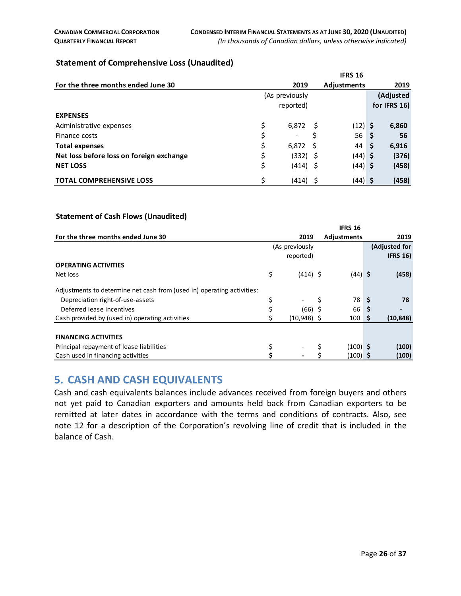#### **Statement of Comprehensive Loss (Unaudited)**

|                                          |    |                |     | <b>IFRS 16</b>     |              |
|------------------------------------------|----|----------------|-----|--------------------|--------------|
| For the three months ended June 30       |    | 2019           |     | <b>Adjustments</b> | 2019         |
|                                          |    | (As previously |     |                    | (Adjusted    |
|                                          |    | reported)      |     |                    | for IFRS 16) |
| <b>EXPENSES</b>                          |    |                |     |                    |              |
| Administrative expenses                  | \$ | 6,872          | -S  | $(12)$ \$          | 6,860        |
| Finance costs                            | \$ | $\blacksquare$ |     | 56 <sub>5</sub>    | 56           |
| <b>Total expenses</b>                    | \$ | 6.872          | S   | 44 \$              | 6,916        |
| Net loss before loss on foreign exchange | \$ | (332)          | - S | (44) \$            | (376)        |
| <b>NET LOSS</b>                          | \$ | (414)          | -S  | $(44)$ \$          | (458)        |
| <b>TOTAL COMPREHENSIVE LOSS</b>          | Ś  | (414)          |     | $(44)$ \$          | (458)        |

#### **Statement of Cash Flows (Unaudited)**

|                                                                        | 2019      |                | 2019                                                                                                                                    |
|------------------------------------------------------------------------|-----------|----------------|-----------------------------------------------------------------------------------------------------------------------------------------|
|                                                                        |           |                | (Adjusted for                                                                                                                           |
|                                                                        | reported) |                | <b>IFRS 16)</b>                                                                                                                         |
|                                                                        |           |                |                                                                                                                                         |
| \$                                                                     |           |                | (458)                                                                                                                                   |
| Adjustments to determine net cash from (used in) operating activities: |           |                |                                                                                                                                         |
| \$                                                                     |           | Ś              | \$<br>78                                                                                                                                |
|                                                                        |           |                | S                                                                                                                                       |
|                                                                        |           |                | (10, 848)<br>S                                                                                                                          |
|                                                                        |           |                |                                                                                                                                         |
|                                                                        |           |                |                                                                                                                                         |
|                                                                        |           |                | (100)                                                                                                                                   |
|                                                                        |           |                | (100)                                                                                                                                   |
|                                                                        |           | (As previously | <b>IFRS 16</b><br>Adjustments<br>$(414)$ \$<br>$(44)$ \$<br>78<br>66<br>(66) \$<br>$(10,948)$ \$<br>$100-1$<br>$(100)$ \$<br>$(100)$ \$ |

#### <span id="page-25-0"></span>**5. CASH AND CASH EQUIVALENTS**

Cash and cash equivalents balances include advances received from foreign buyers and others not yet paid to Canadian exporters and amounts held back from Canadian exporters to be remitted at later dates in accordance with the terms and conditions of contracts. Also, see note 12 for a description of the Corporation's revolving line of credit that is included in the balance of Cash.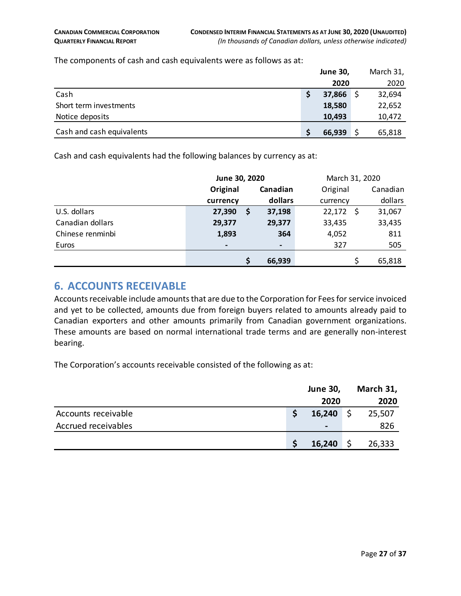The components of cash and cash equivalents were as follows as at:

|                           |   | <b>June 30,</b> | March 31, |
|---------------------------|---|-----------------|-----------|
|                           |   | 2020            | 2020      |
| Cash                      | S | 37,866          | 32,694    |
| Short term investments    |   | 18,580          | 22,652    |
| Notice deposits           |   | 10,493          | 10,472    |
| Cash and cash equivalents |   | 66,939          | 65,818    |

Cash and cash equivalents had the following balances by currency as at:

|                  |                          | June 30, 2020 |                                                                                                                                                                                                                                                                                                                                                               |             |   | March 31, 2020 |  |  |  |
|------------------|--------------------------|---------------|---------------------------------------------------------------------------------------------------------------------------------------------------------------------------------------------------------------------------------------------------------------------------------------------------------------------------------------------------------------|-------------|---|----------------|--|--|--|
|                  | Original                 |               | Canadian                                                                                                                                                                                                                                                                                                                                                      | Original    |   | Canadian       |  |  |  |
|                  | currency                 |               | dollars                                                                                                                                                                                                                                                                                                                                                       | currency    |   | dollars        |  |  |  |
| U.S. dollars     | 27,390                   | S             | 37,198                                                                                                                                                                                                                                                                                                                                                        | $22,172$ \$ |   | 31,067         |  |  |  |
| Canadian dollars | 29,377                   |               | 29,377                                                                                                                                                                                                                                                                                                                                                        | 33,435      |   | 33,435         |  |  |  |
| Chinese renminbi | 1,893                    |               | 364                                                                                                                                                                                                                                                                                                                                                           | 4,052       |   | 811            |  |  |  |
| Euros            | $\overline{\phantom{a}}$ |               | $\hskip1.6pt\hskip1.6pt\hskip1.6pt\hskip1.6pt\hskip1.6pt\hskip1.6pt\hskip1.6pt\hskip1.6pt\hskip1.6pt\hskip1.6pt\hskip1.6pt\hskip1.6pt\hskip1.6pt\hskip1.6pt\hskip1.6pt\hskip1.6pt\hskip1.6pt\hskip1.6pt\hskip1.6pt\hskip1.6pt\hskip1.6pt\hskip1.6pt\hskip1.6pt\hskip1.6pt\hskip1.6pt\hskip1.6pt\hskip1.6pt\hskip1.6pt\hskip1.6pt\hskip1.6pt\hskip1.6pt\hskip$ | 327         |   | 505            |  |  |  |
|                  |                          |               | 66,939                                                                                                                                                                                                                                                                                                                                                        |             | Ś | 65,818         |  |  |  |

#### <span id="page-26-0"></span>**6. ACCOUNTS RECEIVABLE**

Accounts receivable include amounts that are due to the Corporation for Fees for service invoiced and yet to be collected, amounts due from foreign buyers related to amounts already paid to Canadian exporters and other amounts primarily from Canadian government organizations. These amounts are based on normal international trade terms and are generally non-interest bearing.

The Corporation's accounts receivable consisted of the following as at:

|                     | <b>June 30,</b> |    | March 31, |
|---------------------|-----------------|----|-----------|
|                     | 2020            |    | 2020      |
| Accounts receivable | 16,240          | S. | 25,507    |
| Accrued receivables | $\blacksquare$  |    | 826       |
|                     | 16,240          |    | 26,333    |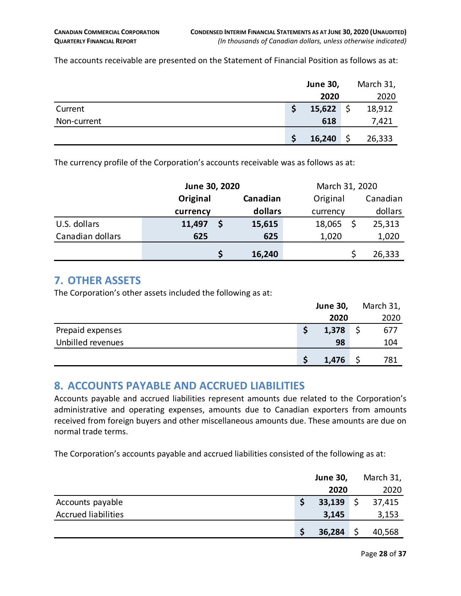The accounts receivable are presented on the Statement of Financial Position as follows as at:

|             | <b>June 30,</b> | March 31, |        |
|-------------|-----------------|-----------|--------|
|             | 2020            |           | 2020   |
| Current     | 15,622          | 5         | 18,912 |
| Non-current | 618             |           | 7,421  |
|             | 16,240          |           | 26,333 |

The currency profile of the Corporation's accounts receivable was as follows as at:

|                  | June 30, 2020 |  |          | March 31, 2020 |  |          |
|------------------|---------------|--|----------|----------------|--|----------|
|                  | Original      |  | Canadian | Original       |  | Canadian |
|                  | currency      |  | dollars  | currency       |  | dollars  |
| U.S. dollars     | 11,497        |  | 15,615   | 18,065         |  | 25,313   |
| Canadian dollars | 625           |  | 625      | 1,020          |  | 1,020    |
|                  |               |  | 16,240   |                |  | 26,333   |

#### <span id="page-27-0"></span>**7. OTHER ASSETS**

The Corporation's other assets included the following as at:

|                   | <b>June 30,</b> | March 31, |
|-------------------|-----------------|-----------|
|                   | 2020            | 2020      |
| Prepaid expenses  | 1,378           | 677       |
| Unbilled revenues | 98              | 104       |
|                   | 1,476           | 781       |

## <span id="page-27-1"></span>**8. ACCOUNTS PAYABLE AND ACCRUED LIABILITIES**

Accounts payable and accrued liabilities represent amounts due related to the Corporation's administrative and operating expenses, amounts due to Canadian exporters from amounts received from foreign buyers and other miscellaneous amounts due. These amounts are due on normal trade terms.

The Corporation's accounts payable and accrued liabilities consisted of the following as at:

|                            | <b>June 30,</b> | March 31, |
|----------------------------|-----------------|-----------|
|                            | 2020            | 2020      |
| Accounts payable           | 33,139          | 37,415    |
| <b>Accrued liabilities</b> | 3,145           | 3,153     |
|                            | 36,284          | 40,568    |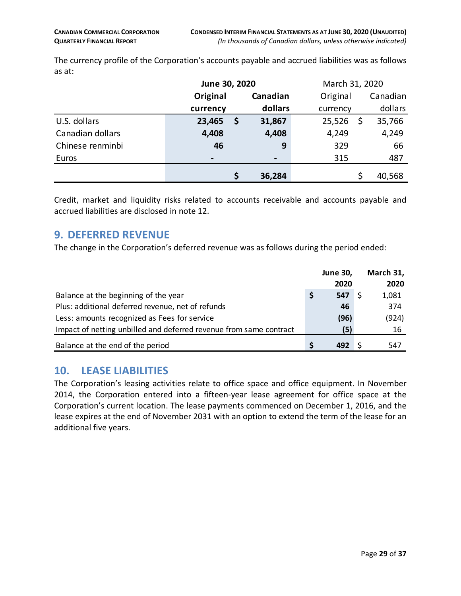The currency profile of the Corporation's accounts payable and accrued liabilities was as follows as at:

|                  | June 30, 2020 |   | March 31, 2020 |          |  |          |
|------------------|---------------|---|----------------|----------|--|----------|
|                  | Original      |   | Canadian       | Original |  | Canadian |
|                  | currency      |   | dollars        | currency |  | dollars  |
| U.S. dollars     | 23,465        | Ş | 31,867         | 25,526   |  | 35,766   |
| Canadian dollars | 4,408         |   | 4,408          | 4,249    |  | 4,249    |
| Chinese renminbi | 46            |   | 9              | 329      |  | 66       |
| Euros            |               |   |                | 315      |  | 487      |
|                  |               | Ś | 36,284         |          |  | 40,568   |

Credit, market and liquidity risks related to accounts receivable and accounts payable and accrued liabilities are disclosed in note 12.

#### <span id="page-28-0"></span>**9. DEFERRED REVENUE**

The change in the Corporation's deferred revenue was as follows during the period ended:

|                                                                    |   | <b>June 30,</b> | March 31, |
|--------------------------------------------------------------------|---|-----------------|-----------|
|                                                                    |   | 2020            | 2020      |
| Balance at the beginning of the year                               | Ş | 547             | 1,081     |
| Plus: additional deferred revenue, net of refunds                  |   | 46              | 374       |
| Less: amounts recognized as Fees for service                       |   | (96)            | (924)     |
| Impact of netting unbilled and deferred revenue from same contract |   | (5)             | 16        |
| Balance at the end of the period                                   | S | 492             | 547       |

#### <span id="page-28-1"></span>**10. LEASE LIABILITIES**

The Corporation's leasing activities relate to office space and office equipment. In November 2014, the Corporation entered into a fifteen-year lease agreement for office space at the Corporation's current location. The lease payments commenced on December 1, 2016, and the lease expires at the end of November 2031 with an option to extend the term of the lease for an additional five years.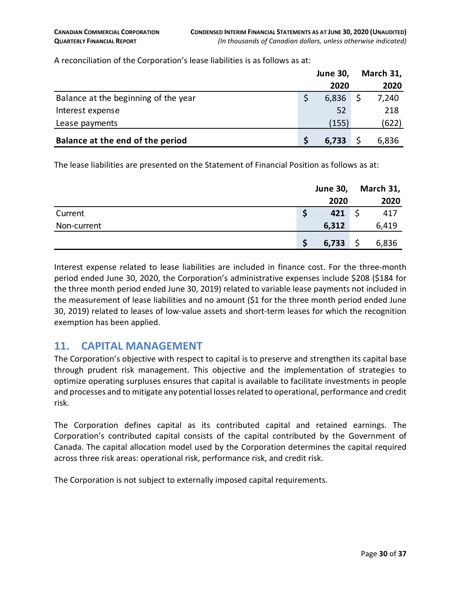|                                      | <b>June 30,</b> | March 31, |
|--------------------------------------|-----------------|-----------|
|                                      | 2020            | 2020      |
| Balance at the beginning of the year | 6,836           | 7,240     |
| Interest expense                     | 52              | 218       |
| Lease payments                       | (155)           | (622)     |
| Balance at the end of the period     | 6,733           | 6,836     |

A reconciliation of the Corporation's lease liabilities is as follows as at:

The lease liabilities are presented on the Statement of Financial Position as follows as at:

|             | <b>June 30,</b> | March 31, |
|-------------|-----------------|-----------|
|             | 2020            | 2020      |
| Current     | 421             | 417       |
| Non-current | 6,312           | 6,419     |
|             | 6,733           | 6,836     |

Interest expense related to lease liabilities are included in finance cost. For the three-month period ended June 30, 2020, the Corporation's administrative expenses include \$208 (\$184 for the three month period ended June 30, 2019) related to variable lease payments not included in the measurement of lease liabilities and no amount (\$1 for the three month period ended June 30, 2019) related to leases of low-value assets and short-term leases for which the recognition exemption has been applied.

## <span id="page-29-0"></span>**11. CAPITAL MANAGEMENT**

The Corporation's objective with respect to capital is to preserve and strengthen its capital base through prudent risk management. This objective and the implementation of strategies to optimize operating surpluses ensures that capital is available to facilitate investments in people and processes and to mitigate any potential losses related to operational, performance and credit risk.

The Corporation defines capital as its contributed capital and retained earnings. The Corporation's contributed capital consists of the capital contributed by the Government of Canada. The capital allocation model used by the Corporation determines the capital required across three risk areas: operational risk, performance risk, and credit risk.

The Corporation is not subject to externally imposed capital requirements.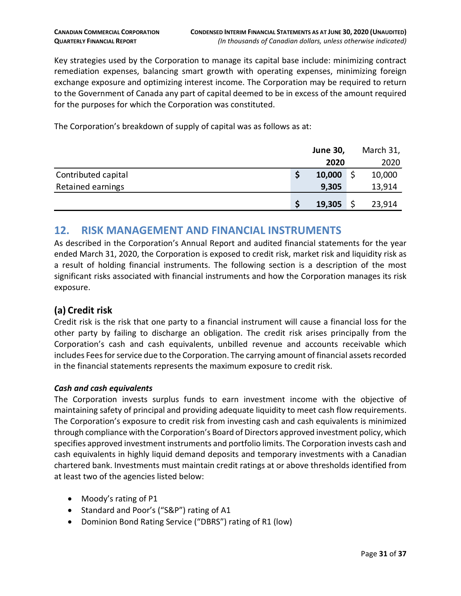Key strategies used by the Corporation to manage its capital base include: minimizing contract remediation expenses, balancing smart growth with operating expenses, minimizing foreign exchange exposure and optimizing interest income. The Corporation may be required to return to the Government of Canada any part of capital deemed to be in excess of the amount required for the purposes for which the Corporation was constituted.

The Corporation's breakdown of supply of capital was as follows as at:

|                     | <b>June 30,</b> | March 31, |
|---------------------|-----------------|-----------|
|                     | 2020            | 2020      |
| Contributed capital | \$<br>10,000    | 10,000    |
| Retained earnings   | 9,305           | 13,914    |
|                     | 19,305          | 23,914    |

## <span id="page-30-0"></span>**12. RISK MANAGEMENT AND FINANCIAL INSTRUMENTS**

As described in the Corporation's Annual Report and audited financial statements for the year ended March 31, 2020, the Corporation is exposed to credit risk, market risk and liquidity risk as a result of holding financial instruments. The following section is a description of the most significant risks associated with financial instruments and how the Corporation manages its risk exposure.

#### **(a) Credit risk**

Credit risk is the risk that one party to a financial instrument will cause a financial loss for the other party by failing to discharge an obligation. The credit risk arises principally from the Corporation's cash and cash equivalents, unbilled revenue and accounts receivable which includes Fees for service due to the Corporation. The carrying amount of financial assets recorded in the financial statements represents the maximum exposure to credit risk.

#### *Cash and cash equivalents*

The Corporation invests surplus funds to earn investment income with the objective of maintaining safety of principal and providing adequate liquidity to meet cash flow requirements. The Corporation's exposure to credit risk from investing cash and cash equivalents is minimized through compliance with the Corporation's Board of Directors approved investment policy, which specifies approved investment instruments and portfolio limits. The Corporation invests cash and cash equivalents in highly liquid demand deposits and temporary investments with a Canadian chartered bank. Investments must maintain credit ratings at or above thresholds identified from at least two of the agencies listed below:

- Moody's rating of P1
- Standard and Poor's ("S&P") rating of A1
- Dominion Bond Rating Service ("DBRS") rating of R1 (low)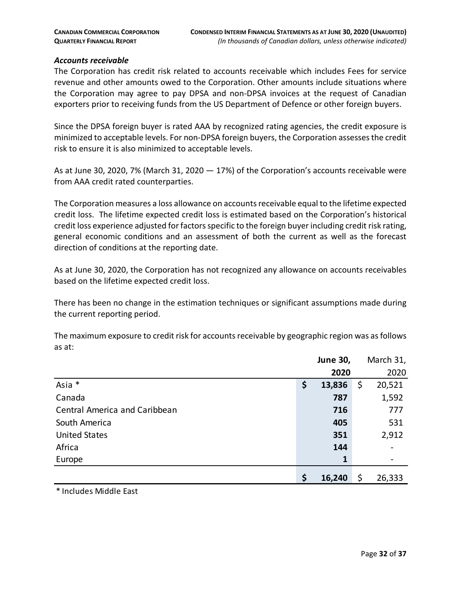#### *Accounts receivable*

The Corporation has credit risk related to accounts receivable which includes Fees for service revenue and other amounts owed to the Corporation. Other amounts include situations where the Corporation may agree to pay DPSA and non-DPSA invoices at the request of Canadian exporters prior to receiving funds from the US Department of Defence or other foreign buyers.

Since the DPSA foreign buyer is rated AAA by recognized rating agencies, the credit exposure is minimized to acceptable levels. For non-DPSA foreign buyers, the Corporation assesses the credit risk to ensure it is also minimized to acceptable levels.

As at June 30, 2020, 7% (March 31, 2020  $-$  17%) of the Corporation's accounts receivable were from AAA credit rated counterparties.

The Corporation measures a loss allowance on accounts receivable equal to the lifetime expected credit loss. The lifetime expected credit loss is estimated based on the Corporation's historical credit loss experience adjusted for factors specific to the foreign buyer including credit risk rating, general economic conditions and an assessment of both the current as well as the forecast direction of conditions at the reporting date.

As at June 30, 2020, the Corporation has not recognized any allowance on accounts receivables based on the lifetime expected credit loss.

There has been no change in the estimation techniques or significant assumptions made during the current reporting period.

The maximum exposure to credit risk for accounts receivable by geographic region was as follows as at:

|                                      | <b>June 30,</b> | March 31,    |
|--------------------------------------|-----------------|--------------|
|                                      | 2020            | 2020         |
| Asia *                               | \$<br>13,836    | \$<br>20,521 |
| Canada                               | 787             | 1,592        |
| <b>Central America and Caribbean</b> | 716             | 777          |
| South America                        | 405             | 531          |
| <b>United States</b>                 | 351             | 2,912        |
| Africa                               | 144             |              |
| Europe                               | 1               |              |
|                                      | \$<br>16,240    | \$<br>26,333 |

\* Includes Middle East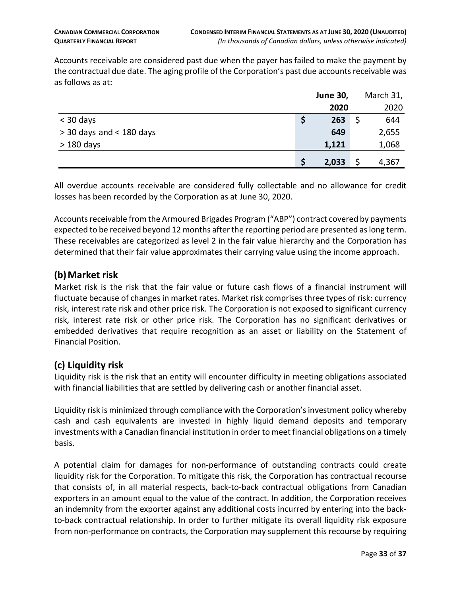Accounts receivable are considered past due when the payer has failed to make the payment by the contractual due date. The aging profile of the Corporation's past due accounts receivable was as follows as at:

|                            | <b>June 30,</b> | March 31, |
|----------------------------|-----------------|-----------|
|                            | 2020            | 2020      |
| $<$ 30 days                | 263             | 644       |
| $>$ 30 days and < 180 days | 649             | 2,655     |
| $>180$ days                | 1,121           | 1,068     |
|                            | 2,033           | 4,367     |

All overdue accounts receivable are considered fully collectable and no allowance for credit losses has been recorded by the Corporation as at June 30, 2020.

Accounts receivable from the Armoured Brigades Program ("ABP") contract covered by payments expected to be received beyond 12 months after the reporting period are presented as long term. These receivables are categorized as level 2 in the fair value hierarchy and the Corporation has determined that their fair value approximates their carrying value using the income approach.

#### **(b)Market risk**

Market risk is the risk that the fair value or future cash flows of a financial instrument will fluctuate because of changes in market rates. Market risk comprises three types of risk: currency risk, interest rate risk and other price risk. The Corporation is not exposed to significant currency risk, interest rate risk or other price risk. The Corporation has no significant derivatives or embedded derivatives that require recognition as an asset or liability on the Statement of Financial Position.

#### **(c) Liquidity risk**

Liquidity risk is the risk that an entity will encounter difficulty in meeting obligations associated with financial liabilities that are settled by delivering cash or another financial asset.

Liquidity risk is minimized through compliance with the Corporation's investment policy whereby cash and cash equivalents are invested in highly liquid demand deposits and temporary investments with a Canadian financial institution in order to meet financial obligations on a timely basis.

A potential claim for damages for non-performance of outstanding contracts could create liquidity risk for the Corporation. To mitigate this risk, the Corporation has contractual recourse that consists of, in all material respects, back-to-back contractual obligations from Canadian exporters in an amount equal to the value of the contract. In addition, the Corporation receives an indemnity from the exporter against any additional costs incurred by entering into the backto-back contractual relationship. In order to further mitigate its overall liquidity risk exposure from non-performance on contracts, the Corporation may supplement this recourse by requiring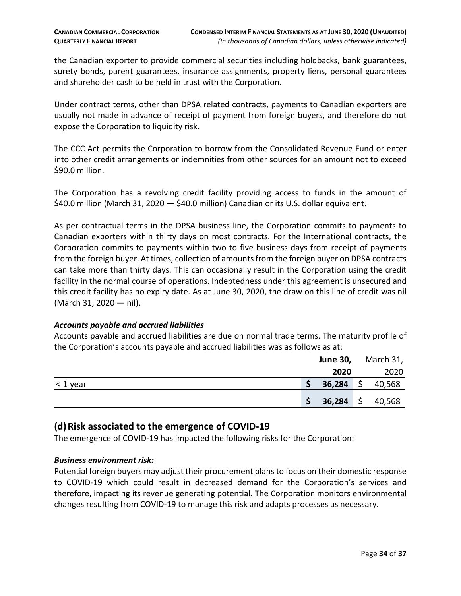the Canadian exporter to provide commercial securities including holdbacks, bank guarantees, surety bonds, parent guarantees, insurance assignments, property liens, personal guarantees and shareholder cash to be held in trust with the Corporation.

Under contract terms, other than DPSA related contracts, payments to Canadian exporters are usually not made in advance of receipt of payment from foreign buyers, and therefore do not expose the Corporation to liquidity risk.

The CCC Act permits the Corporation to borrow from the Consolidated Revenue Fund or enter into other credit arrangements or indemnities from other sources for an amount not to exceed \$90.0 million.

The Corporation has a revolving credit facility providing access to funds in the amount of \$40.0 million (March 31, 2020 — \$40.0 million) Canadian or its U.S. dollar equivalent.

As per contractual terms in the DPSA business line, the Corporation commits to payments to Canadian exporters within thirty days on most contracts. For the International contracts, the Corporation commits to payments within two to five business days from receipt of payments from the foreign buyer. At times, collection of amounts from the foreign buyer on DPSA contracts can take more than thirty days. This can occasionally result in the Corporation using the credit facility in the normal course of operations. Indebtedness under this agreement is unsecured and this credit facility has no expiry date. As at June 30, 2020, the draw on this line of credit was nil (March 31, 2020 — nil).

#### *Accounts payable and accrued liabilities*

Accounts payable and accrued liabilities are due on normal trade terms. The maturity profile of the Corporation's accounts payable and accrued liabilities was as follows as at:

|               |        |         | <b>June 30, March 31,</b> |  |
|---------------|--------|---------|---------------------------|--|
|               | 2020   |         | 2020                      |  |
| $\leq 1$ year | 36,284 | $\zeta$ | 40,568                    |  |
|               | 36,284 | \$      | 40,568                    |  |

#### **(d)Risk associated to the emergence of COVID-19**

The emergence of COVID-19 has impacted the following risks for the Corporation:

#### *Business environment risk:*

Potential foreign buyers may adjust their procurement plans to focus on their domestic response to COVID-19 which could result in decreased demand for the Corporation's services and therefore, impacting its revenue generating potential. The Corporation monitors environmental changes resulting from COVID-19 to manage this risk and adapts processes as necessary.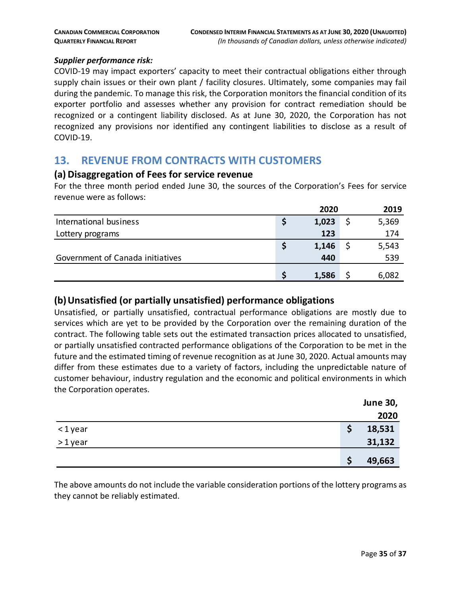#### *Supplier performance risk:*

COVID-19 may impact exporters' capacity to meet their contractual obligations either through supply chain issues or their own plant / facility closures. Ultimately, some companies may fail during the pandemic. To manage this risk, the Corporation monitors the financial condition of its exporter portfolio and assesses whether any provision for contract remediation should be recognized or a contingent liability disclosed. As at June 30, 2020, the Corporation has not recognized any provisions nor identified any contingent liabilities to disclose as a result of COVID-19.

## <span id="page-34-0"></span>**13. REVENUE FROM CONTRACTS WITH CUSTOMERS**

#### **(a) Disaggregation of Fees for service revenue**

For the three month period ended June 30, the sources of the Corporation's Fees for service revenue were as follows:

|                                  | 2020 |       |  | 2019  |  |
|----------------------------------|------|-------|--|-------|--|
| International business           |      | 1,023 |  | 5,369 |  |
| Lottery programs                 |      | 123   |  | 174   |  |
|                                  |      | 1,146 |  | 5,543 |  |
| Government of Canada initiatives |      | 440   |  | 539   |  |
|                                  |      | 1,586 |  | 6,082 |  |

#### **(b)Unsatisfied (or partially unsatisfied) performance obligations**

Unsatisfied, or partially unsatisfied, contractual performance obligations are mostly due to services which are yet to be provided by the Corporation over the remaining duration of the contract. The following table sets out the estimated transaction prices allocated to unsatisfied, or partially unsatisfied contracted performance obligations of the Corporation to be met in the future and the estimated timing of revenue recognition as at June 30, 2020. Actual amounts may differ from these estimates due to a variety of factors, including the unpredictable nature of customer behaviour, industry regulation and the economic and political environments in which the Corporation operates.

|         | <b>June 30,</b> |
|---------|-----------------|
|         | 2020            |
| <1year  | 18,531          |
| >1 year | 31,132          |
|         | 49,663<br>S     |

The above amounts do not include the variable consideration portions of the lottery programs as they cannot be reliably estimated.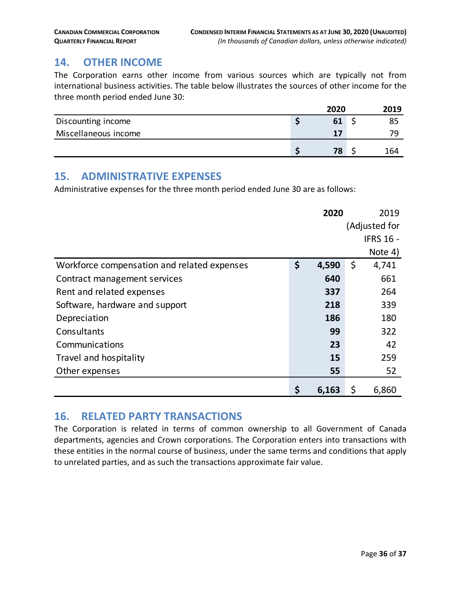# <span id="page-35-0"></span>**14. OTHER INCOME**

The Corporation earns other income from various sources which are typically not from international business activities. The table below illustrates the sources of other income for the three month period ended June 30:

|                      | 2020 | 2019 |  |
|----------------------|------|------|--|
| Discounting income   | 61   | 85   |  |
| Miscellaneous income | 17   | 70   |  |
|                      | 78   | 164  |  |

## <span id="page-35-1"></span>**15. ADMINISTRATIVE EXPENSES**

Administrative expenses for the three month period ended June 30 are as follows:

|                                             | 2020        |    | 2019             |
|---------------------------------------------|-------------|----|------------------|
|                                             |             |    | (Adjusted for    |
|                                             |             |    | <b>IFRS 16 -</b> |
|                                             |             |    | Note 4)          |
| Workforce compensation and related expenses | \$<br>4,590 | \$ | 4,741            |
| Contract management services                | 640         |    | 661              |
| Rent and related expenses                   | 337         |    | 264              |
| Software, hardware and support              | 218         |    | 339              |
| Depreciation                                | 186         |    | 180              |
| Consultants                                 | 99          |    | 322              |
| Communications                              | 23          |    | 42               |
| Travel and hospitality                      | 15          |    | 259              |
| Other expenses                              | 55          |    | 52               |
|                                             | \$<br>6,163 | \$ | 6,860            |

## <span id="page-35-2"></span>**16. RELATED PARTY TRANSACTIONS**

The Corporation is related in terms of common ownership to all Government of Canada departments, agencies and Crown corporations. The Corporation enters into transactions with these entities in the normal course of business, under the same terms and conditions that apply to unrelated parties, and as such the transactions approximate fair value.